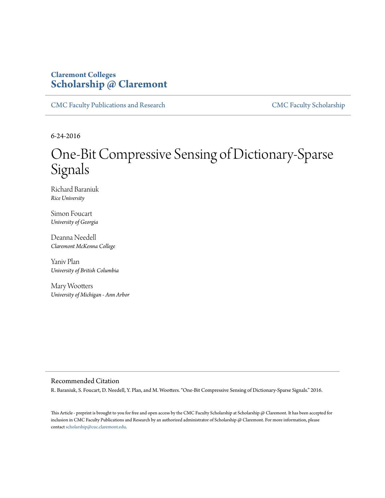# **Claremont Colleges [Scholarship @ Claremont](http://scholarship.claremont.edu)**

[CMC Faculty Publications and Research](http://scholarship.claremont.edu/cmc_fac_pub) [CMC Faculty Scholarship](http://scholarship.claremont.edu/cmc_faculty)

6-24-2016

# One-Bit Compressive Sensing of Dictionary-Sparse Signals

Richard Baraniuk *Rice University*

Simon Foucart *University of Georgia*

Deanna Needell *Claremont McKenna College*

Yaniv Plan *University of British Columbia*

Mary Wootters *University of Michigan - Ann Arbor*

#### Recommended Citation

R. Baraniuk, S. Foucart, D. Needell, Y. Plan, and M. Wootters. "One-Bit Compressive Sensing of Dictionary-Sparse Signals." 2016.

This Article - preprint is brought to you for free and open access by the CMC Faculty Scholarship at Scholarship @ Claremont. It has been accepted for inclusion in CMC Faculty Publications and Research by an authorized administrator of Scholarship @ Claremont. For more information, please contact [scholarship@cuc.claremont.edu](mailto:scholarship@cuc.claremont.edu).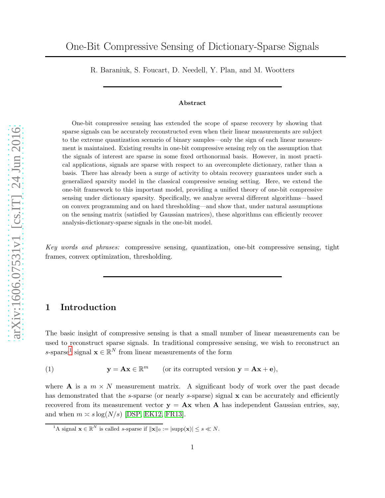R. Baraniuk, S. Foucart, D. Needell, Y. Plan, and M. Wootters

#### Abstract

One-bit compressive sensing has extended the scope of sparse recovery by showing that sparse signals can be accurately reconstructed even when their linear measurements are subject to the extreme quantization scenario of binary samples—only the sign of each linear measurement is maintained. Existing results in one-bit compressive sensing rely on the assumption that the signals of interest are sparse in some fixed orthonormal basis. However, in most practical applications, signals are sparse with respect to an overcomplete dictionary, rather than a basis. There has already been a surge of activity to obtain recovery guarantees under such a generalized sparsity model in the classical compressive sensing setting. Here, we extend the one-bit framework to this important model, providing a unified theory of one-bit compressive sensing under dictionary sparsity. Specifically, we analyze several different algorithms—based on convex programming and on hard thresholding—and show that, under natural assumptions on the sensing matrix (satisfied by Gaussian matrices), these algorithms can efficiently recover analysis-dictionary-sparse signals in the one-bit model.

Key words and phrases: compressive sensing, quantization, one-bit compressive sensing, tight frames, convex optimization, thresholding.

# 1 Introduction

The basic insight of compressive sensing is that a small number of linear measurements can be used to reconstruct sparse signals. In traditional compressive sensing, we wish to reconstruct an s-sparse<sup>[1](#page-1-0)</sup> signal  $\mathbf{x} \in \mathbb{R}^N$  from linear measurements of the form

<span id="page-1-1"></span>(1) 
$$
\mathbf{y} = \mathbf{A}\mathbf{x} \in \mathbb{R}^m \qquad \text{(or its corrupted version } \mathbf{y} = \mathbf{A}\mathbf{x} + \mathbf{e}),
$$

where **A** is a  $m \times N$  measurement matrix. A significant body of work over the past decade has demonstrated that the s-sparse (or nearly s-sparse) signal x can be accurately and efficiently recovered from its measurement vector  $y = Ax$  when A has independent Gaussian entries, say, and when  $m \approx s \log(N/s)$  [\[DSP,](#page-23-0) [EK12,](#page-23-1) [FR13\]](#page-23-2).

<span id="page-1-0"></span><sup>&</sup>lt;sup>1</sup>A signal  $\mathbf{x} \in \mathbb{R}^N$  is called s-sparse if  $\|\mathbf{x}\|_0 := |\text{supp}(\mathbf{x})| \leq s \ll N$ .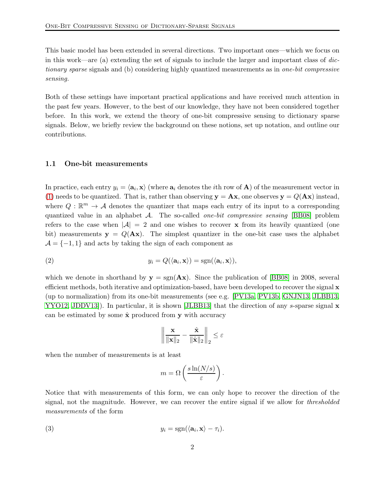This basic model has been extended in several directions. Two important ones—which we focus on in this work—are (a) extending the set of signals to include the larger and important class of dictionary sparse signals and (b) considering highly quantized measurements as in one-bit compressive sensing.

Both of these settings have important practical applications and have received much attention in the past few years. However, to the best of our knowledge, they have not been considered together before. In this work, we extend the theory of one-bit compressive sensing to dictionary sparse signals. Below, we briefly review the background on these notions, set up notation, and outline our contributions.

#### <span id="page-2-2"></span>1.1 One-bit measurements

In practice, each entry  $y_i = \langle \mathbf{a}_i, \mathbf{x} \rangle$  (where  $\mathbf{a}_i$  denotes the *i*th row of **A**) of the measurement vector in [\(1\)](#page-1-1) needs to be quantized. That is, rather than observing  $y = Ax$ , one observes  $y = Q(Ax)$  instead, where  $Q: \mathbb{R}^m \to A$  denotes the quantizer that maps each entry of its input to a corresponding quantized value in an alphabet  $\mathcal{A}$ . The so-called *one-bit compressive sensing* [\[BB08\]](#page-22-0) problem refers to the case when  $|\mathcal{A}| = 2$  and one wishes to recover x from its heavily quantized (one bit) measurements  $y = Q(Ax)$ . The simplest quantizer in the one-bit case uses the alphabet  $\mathcal{A} = \{-1, 1\}$  and acts by taking the sign of each component as

(2) 
$$
y_i = Q(\langle \mathbf{a}_i, \mathbf{x} \rangle) = \text{sgn}(\langle \mathbf{a}_i, \mathbf{x} \rangle),
$$

which we denote in shorthand by  $y = sgn(Ax)$ . Since the publication of [\[BB08\]](#page-22-0) in 2008, several efficient methods, both iterative and optimization-based, have been developed to recover the signal  $\bf{x}$ (up to normalization) from its one-bit measurements (see e.g. [\[PV13a,](#page-24-0) [PV13b,](#page-24-1) [GNJN13,](#page-23-3) [JLBB13,](#page-24-2) [YYO12,](#page-24-3) JDDV13). In particular, it is shown [\[JLBB13\]](#page-24-2) that the direction of any s-sparse signal x can be estimated by some  $\hat{\mathbf{x}}$  produced from y with accuracy

<span id="page-2-1"></span>
$$
\left\|\frac{\mathbf{x}}{\|\mathbf{x}\|_2} - \frac{\hat{\mathbf{x}}}{\|\hat{\mathbf{x}}\|_2}\right\|_2 \leq \varepsilon
$$

when the number of measurements is at least

<span id="page-2-0"></span>
$$
m = \Omega\left(\frac{s \ln(N/s)}{\varepsilon}\right).
$$

Notice that with measurements of this form, we can only hope to recover the direction of the signal, not the magnitude. However, we can recover the entire signal if we allow for *thresholded* measurements of the form

(3) 
$$
y_i = \text{sgn}(\langle \mathbf{a}_i, \mathbf{x} \rangle - \tau_i).
$$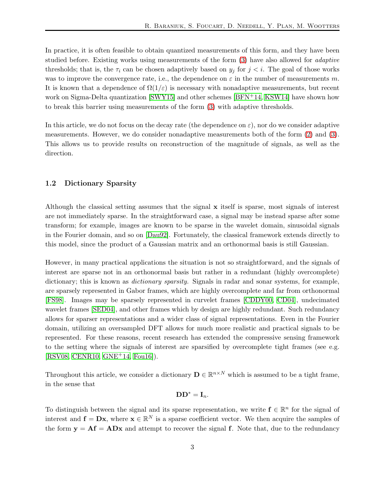In practice, it is often feasible to obtain quantized measurements of this form, and they have been studied before. Existing works using measurements of the form [\(3\)](#page-2-0) have also allowed for adaptive thresholds; that is, the  $\tau_i$  can be chosen adaptively based on  $y_j$  for  $j < i$ . The goal of those works was to improve the convergence rate, i.e., the dependence on  $\varepsilon$  in the number of measurements m. It is known that a dependence of  $\Omega(1/\varepsilon)$  is necessary with nonadaptive measurements, but recent work on Sigma-Delta quantization [\[SWY15\]](#page-24-5) and other schemes [\[BFN](#page-23-4)+14, [KSW14\]](#page-24-6) have shown how to break this barrier using measurements of the form [\(3\)](#page-2-0) with adaptive thresholds.

In this article, we do not focus on the decay rate (the dependence on  $\varepsilon$ ), nor do we consider adaptive measurements. However, we do consider nonadaptive measurements both of the form [\(2\)](#page-2-1) and [\(3\)](#page-2-0). This allows us to provide results on reconstruction of the magnitude of signals, as well as the direction.

#### <span id="page-3-0"></span>1.2 Dictionary Sparsity

Although the classical setting assumes that the signal  $x$  itself is sparse, most signals of interest are not immediately sparse. In the straightforward case, a signal may be instead sparse after some transform; for example, images are known to be sparse in the wavelet domain, sinusoidal signals in the Fourier domain, and so on [\[Dau92\]](#page-23-5). Fortunately, the classical framework extends directly to this model, since the product of a Gaussian matrix and an orthonormal basis is still Gaussian.

However, in many practical applications the situation is not so straightforward, and the signals of interest are sparse not in an orthonormal basis but rather in a redundant (highly overcomplete) dictionary; this is known as *dictionary sparsity*. Signals in radar and sonar systems, for example, are sparsely represented in Gabor frames, which are highly overcomplete and far from orthonormal [\[FS98\]](#page-23-6). Images may be sparsely represented in curvelet frames [\[CDDY00,](#page-23-7) [CD04\]](#page-23-8), undecimated wavelet frames [\[SED04\]](#page-24-7), and other frames which by design are highly redundant. Such redundancy allows for sparser representations and a wider class of signal representations. Even in the Fourier domain, utilizing an oversampled DFT allows for much more realistic and practical signals to be represented. For these reasons, recent research has extended the compressive sensing framework to the setting where the signals of interest are sparsified by overcomplete tight frames (see e.g. [\[RSV08,](#page-24-8) [CENR10,](#page-23-9) [GNE](#page-23-10)+14, [Fou16\]](#page-23-11)).

Throughout this article, we consider a dictionary  $\mathbf{D} \in \mathbb{R}^{n \times N}$  which is assumed to be a tight frame, in the sense that

## $DD^* = I_n$ .

To distinguish between the signal and its sparse representation, we write  $f \in \mathbb{R}^n$  for the signal of interest and  $f = Dx$ , where  $x \in \mathbb{R}^N$  is a sparse coefficient vector. We then acquire the samples of the form  $y = Af = ADx$  and attempt to recover the signal f. Note that, due to the redundancy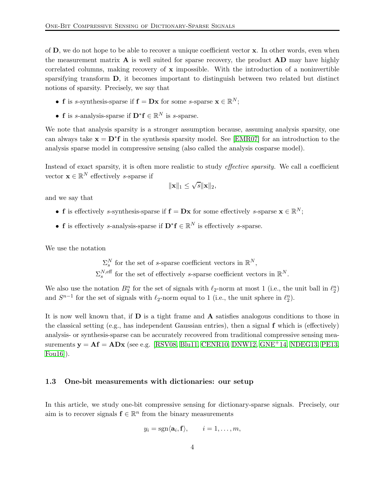of D, we do not hope to be able to recover a unique coefficient vector x. In other words, even when the measurement matrix  $\bf{A}$  is well suited for sparse recovery, the product  $\bf{A}\bf{D}$  may have highly correlated columns, making recovery of  $x$  impossible. With the introduction of a noninvertible sparsifying transform D, it becomes important to distinguish between two related but distinct notions of sparsity. Precisely, we say that

- f is s-synthesis-sparse if  $f = Dx$  for some s-sparse  $x \in \mathbb{R}^N$ ;
- **f** is s-analysis-sparse if  $\mathbf{D}^* \mathbf{f} \in \mathbb{R}^N$  is s-sparse.

We note that analysis sparsity is a stronger assumption because, assuming analysis sparsity, one can always take  $\mathbf{x} = \mathbf{D}^* \mathbf{f}$  in the synthesis sparsity model. See [\[EMR07\]](#page-23-12) for an introduction to the analysis sparse model in compressive sensing (also called the analysis cosparse model).

Instead of exact sparsity, it is often more realistic to study effective sparsity. We call a coefficient vector  $\mathbf{x} \in \mathbb{R}^N$  effectively *s*-sparse if

$$
\|\mathbf{x}\|_1 \leq \sqrt{s} \|\mathbf{x}\|_2,
$$

and we say that

- **f** is effectively s-synthesis-sparse if  $f = Dx$  for some effectively s-sparse  $x \in \mathbb{R}^N$ ;
- **f** is effectively s-analysis-sparse if  $\mathbf{D}^* \mathbf{f} \in \mathbb{R}^N$  is effectively s-sparse.

We use the notation

 $\Sigma_s^N$  for the set of s-sparse coefficient vectors in  $\mathbb{R}^N$ ,  $\Sigma_s^{N, \text{eff}}$  for the set of effectively s-sparse coefficient vectors in  $\mathbb{R}^N$ .

We also use the notation  $B_2^n$  for the set of signals with  $\ell_2$ -norm at most 1 (i.e., the unit ball in  $\ell_2^n$ ) and  $S^{n-1}$  for the set of signals with  $\ell_2$ -norm equal to 1 (i.e., the unit sphere in  $\ell_2^n$ ).

It is now well known that, if D is a tight frame and A satisfies analogous conditions to those in the classical setting (e.g., has independent Gaussian entries), then a signal  $f$  which is (effectively) analysis- or synthesis-sparse can be accurately recovered from traditional compressive sensing measurements  $y = Af = ADx$  (see e.g. [\[RSV08,](#page-24-8) [Blu11,](#page-23-13) [CENR10,](#page-23-9) [DNW12,](#page-23-14) [GNE](#page-23-10)<sup>+</sup>14, [NDEG13,](#page-24-9) [PE13,](#page-24-10) [Fou16\]](#page-23-11)).

#### 1.3 One-bit measurements with dictionaries: our setup

In this article, we study one-bit compressive sensing for dictionary-sparse signals. Precisely, our aim is to recover signals  $\mathbf{f} \in \mathbb{R}^n$  from the binary measurements

$$
y_i = \mathrm{sgn}\langle \mathbf{a}_i, \mathbf{f} \rangle, \qquad i = 1, \dots, m,
$$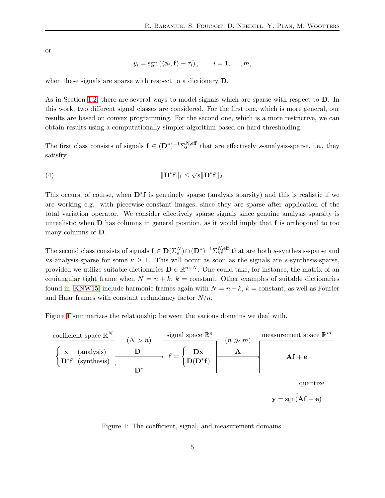or

$$
y_i = sgn (\langle \mathbf{a}_i, \mathbf{f} \rangle - \tau_i), \qquad i = 1, \ldots, m,
$$

when these signals are sparse with respect to a dictionary D.

As in Section [1.2,](#page-3-0) there are several ways to model signals which are sparse with respect to D. In this work, two different signal classes are considered. For the first one, which is more general, our results are based on convex programming. For the second one, which is a more restrictive, we can obtain results using a computationally simpler algorithm based on hard thresholding.

The first class consists of signals  $f \in (D^*)^{-1} \Sigma_s^{N, \text{eff}}$  that are effectively s-analysis-sparse, i.e., they satisfty

(4) 
$$
\|\mathbf{D}^*\mathbf{f}\|_1 \leq \sqrt{s}\|\mathbf{D}^*\mathbf{f}\|_2.
$$

This occurs, of course, when D<sup>∗</sup>f is genuinely sparse (analysis sparsity) and this is realistic if we are working e.g. with piecewise-constant images, since they are sparse after application of the total variation operator. We consider effectively sparse signals since genuine analysis sparsity is unrealistic when  **has columns in general position, as it would imply that**  $**f**$  **is orthogonal to too** many columns of D.

The second class consists of signals  $f \in D(\Sigma_s^N) \cap (D^*)^{-1} \Sigma_{\kappa s}^{N, \text{eff}}$  that are both s-synthesis-sparse and  $\kappa$ s-analysis-sparse for some  $\kappa \geq 1$ . This will occur as soon as the signals are s-synthesis-sparse, provided we utilize suitable dictionaries  $\mathbf{D} \in \mathbb{R}^{n \times N}$ . One could take, for instance, the matrix of an equiangular tight frame when  $N = n + k$ ,  $k = constant$ . Other examples of suitable dictionaries found in [\[KNW15\]](#page-24-11) include harmonic frames again with  $N = n + k$ ,  $k =$  constant, as well as Fourier and Haar frames with constant redundancy factor  $N/n$ .

Figure [1](#page-5-0) summarizes the relationship between the various domains we deal with.



<span id="page-5-0"></span>Figure 1: The coefficient, signal, and measurement domains.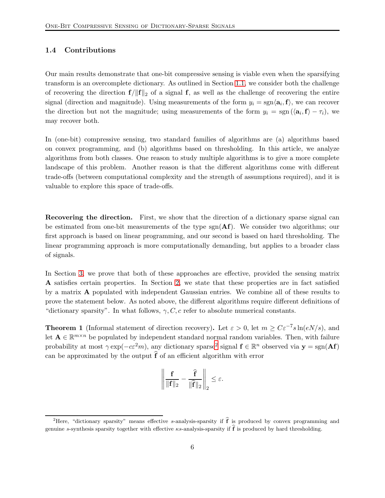## 1.4 Contributions

Our main results demonstrate that one-bit compressive sensing is viable even when the sparsifying transform is an overcomplete dictionary. As outlined in Section [1.1,](#page-2-2) we consider both the challenge of recovering the direction  $f/\|f\|_2$  of a signal f, as well as the challenge of recovering the entire signal (direction and magnitude). Using measurements of the form  $y_i = sgn(\mathbf{a}_i, \mathbf{f})$ , we can recover the direction but not the magnitude; using measurements of the form  $y_i = \text{sgn}(\langle \mathbf{a}_i, \mathbf{f} \rangle - \tau_i)$ , we may recover both.

In (one-bit) compressive sensing, two standard families of algorithms are (a) algorithms based on convex programming, and (b) algorithms based on thresholding. In this article, we analyze algorithms from both classes. One reason to study multiple algorithms is to give a more complete landscape of this problem. Another reason is that the different algorithms come with different trade-offs (between computational complexity and the strength of assumptions required), and it is valuable to explore this space of trade-offs.

Recovering the direction. First, we show that the direction of a dictionary sparse signal can be estimated from one-bit measurements of the type  $sgn(\mathbf{Af})$ . We consider two algorithms; our first approach is based on linear programming, and our second is based on hard thresholding. The linear programming approach is more computationally demanding, but applies to a broader class of signals.

In Section [3,](#page-9-0) we prove that both of these approaches are effective, provided the sensing matrix A satisfies certain properties. In Section [2,](#page-8-0) we state that these properties are in fact satisfied by a matrix A populated with independent Gaussian entries. We combine all of these results to prove the statement below. As noted above, the different algorithms require different definitions of "dictionary sparsity". In what follows,  $\gamma$ , C, c refer to absolute numerical constants.

**Theorem 1** (Informal statement of direction recovery). Let  $\varepsilon > 0$ , let  $m \geq C \varepsilon^{-7} s \ln(eN/s)$ , and let  $\mathbf{A} \in \mathbb{R}^{m \times n}$  be populated by independent standard normal random variables. Then, with failure probability at most  $\gamma \exp(-c\epsilon^2 m)$  $\gamma \exp(-c\epsilon^2 m)$  $\gamma \exp(-c\epsilon^2 m)$ , any dictionary sparse<sup>2</sup> signal  $f \in \mathbb{R}^n$  observed via  $y = sgn(\mathbf{A}f)$ can be approximated by the output  $\hat{f}$  of an efficient algorithm with error

$$
\left\| \frac{\mathbf{f}}{\|\mathbf{f}\|_2} - \frac{\widehat{\mathbf{f}}}{\|\widehat{\mathbf{f}}\|_2} \right\|_2 \leq \varepsilon.
$$

<span id="page-6-0"></span><sup>&</sup>lt;sup>2</sup>Here, "dictionary sparsity" means effective s-analysis-sparsity if  $\hat{f}$  is produced by convex programming and genuine s-synthesis sparsity together with effective  $\kappa$ s-analysis-sparsity if  $\hat{\mathbf{f}}$  is produced by hard thresholding.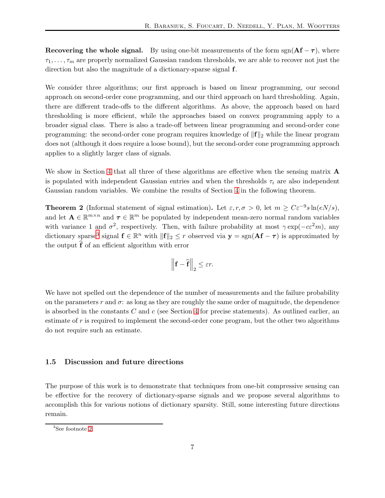Recovering the whole signal. By using one-bit measurements of the form sgn( $Af - \tau$ ), where  $\tau_1, \ldots, \tau_m$  are properly normalized Gaussian random thresholds, we are able to recover not just the direction but also the magnitude of a dictionary-sparse signal f.

We consider three algorithms; our first approach is based on linear programming, our second approach on second-order cone programming, and our third approach on hard thresholding. Again, there are different trade-offs to the different algorithms. As above, the approach based on hard thresholding is more efficient, while the approaches based on convex programming apply to a broader signal class. There is also a trade-off between linear programming and second-order cone programming: the second-order cone program requires knowledge of  $\|\mathbf{f}\|_2$  while the linear program does not (although it does require a loose bound), but the second-order cone programming approach applies to a slightly larger class of signals.

We show in Section [4](#page-13-0) that all three of these algorithms are effective when the sensing matrix  $\bf{A}$ is populated with independent Gaussian entries and when the thresholds  $\tau_i$  are also independent Gaussian random variables. We combine the results of Section [4](#page-13-0) in the following theorem.

**Theorem 2** (Informal statement of signal estimation). Let  $\varepsilon, r, \sigma > 0$ , let  $m \ge C\varepsilon^{-9} s \ln(eN/s)$ , and let  $\mathbf{A} \in \mathbb{R}^{m \times n}$  and  $\boldsymbol{\tau} \in \mathbb{R}^m$  be populated by independent mean-zero normal random variables with variance 1 and  $\sigma^2$ , respectively. Then, with failure probability at most  $\gamma \exp(-c\varepsilon^2 m)$ , any dictionary sparse<sup>[3](#page-7-0)</sup> signal  $f \in \mathbb{R}^n$  with  $||f||_2 \le r$  observed via  $y = sgn(\mathbf{A}f - \tau)$  is approximated by the output  $\hat{f}$  of an efficient algorithm with error

$$
\left\|\mathbf{f} - \widehat{\mathbf{f}}\right\|_2 \leq \varepsilon r.
$$

We have not spelled out the dependence of the number of measurements and the failure probability on the parameters r and  $\sigma$ : as long as they are roughly the same order of magnitude, the dependence is absorbed in the constants  $C$  and  $c$  (see Section [4](#page-13-0) for precise statements). As outlined earlier, an estimate of r is required to implement the second-order cone program, but the other two algorithms do not require such an estimate.

#### 1.5 Discussion and future directions

The purpose of this work is to demonstrate that techniques from one-bit compressive sensing can be effective for the recovery of dictionary-sparse signals and we propose several algorithms to accomplish this for various notions of dictionary sparsity. Still, some interesting future directions remain.

<span id="page-7-0"></span><sup>3</sup> See footnote [2.](#page-6-0)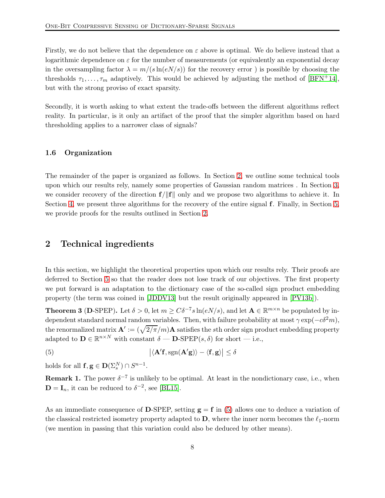Firstly, we do not believe that the dependence on  $\varepsilon$  above is optimal. We do believe instead that a logarithmic dependence on  $\varepsilon$  for the number of measurements (or equivalently an exponential decay in the oversampling factor  $\lambda = m/(s \ln(eN/s))$  for the recovery error ) is possible by choosing the thresholds  $\tau_1, \ldots, \tau_m$  adaptively. This would be achieved by adjusting the method of [\[BFN](#page-23-4)+14], but with the strong proviso of exact sparsity.

Secondly, it is worth asking to what extent the trade-offs between the different algorithms reflect reality. In particular, is it only an artifact of the proof that the simpler algorithm based on hard thresholding applies to a narrower class of signals?

#### 1.6 Organization

The remainder of the paper is organized as follows. In Section [2,](#page-8-0) we outline some technical tools upon which our results rely, namely some properties of Gaussian random matrices . In Section [3,](#page-9-0) we consider recovery of the direction  $f/||f||$  only and we propose two algorithms to achieve it. In Section [4,](#page-13-0) we present three algorithms for the recovery of the entire signal f. Finally, in Section [5,](#page-18-0) we provide proofs for the results outlined in Section [2.](#page-8-0)

## <span id="page-8-0"></span>2 Technical ingredients

In this section, we highlight the theoretical properties upon which our results rely. Their proofs are deferred to Section [5](#page-18-0) so that the reader does not lose track of our objectives. The first property we put forward is an adaptation to the dictionary case of the so-called sign product embedding property (the term was coined in [\[JDDV13\]](#page-24-4) but the result originally appeared in [\[PV13b\]](#page-24-1)).

<span id="page-8-2"></span>**Theorem 3** (D-SPEP). Let  $\delta > 0$ , let  $m \geq C\delta^{-7} s \ln(eN/s)$ , and let  $\mathbf{A} \in \mathbb{R}^{m \times n}$  be populated by independent standard normal random variables. Then, with failure probability at most  $\gamma \exp(-c\delta^2 m)$ , the renormalized matrix  $\mathbf{A}' := (\sqrt{2/\pi}/m)\mathbf{A}$  satisfies the sth order sign product embedding property adapted to  $\mathbf{D} \in \mathbb{R}^{n \times N}$  with constant  $\delta$  —  $\mathbf{D}\text{-SPEP}(s, \delta)$  for short — i.e.,

<span id="page-8-1"></span>(5)  $\big| \langle \mathbf{A}' \mathbf{f}, \mathrm{sgn}(\mathbf{A}'\mathbf{g}) \rangle - \langle \mathbf{f}, \mathbf{g} \rangle \big| \leq \delta$ 

holds for all  $f, g \in D(\Sigma_s^N) \cap S^{n-1}$ .

**Remark 1.** The power  $\delta^{-7}$  is unlikely to be optimal. At least in the nondictionary case, i.e., when  $\mathbf{D} = \mathbf{I}_n$ , it can be reduced to  $\delta^{-2}$ , see [\[BL15\]](#page-23-15).

As an immediate consequence of D-SPEP, setting  $g = f$  in [\(5\)](#page-8-1) allows one to deduce a variation of the classical restricted isometry property adapted to  $\bf{D}$ , where the inner norm becomes the  $\ell_1$ -norm (we mention in passing that this variation could also be deduced by other means).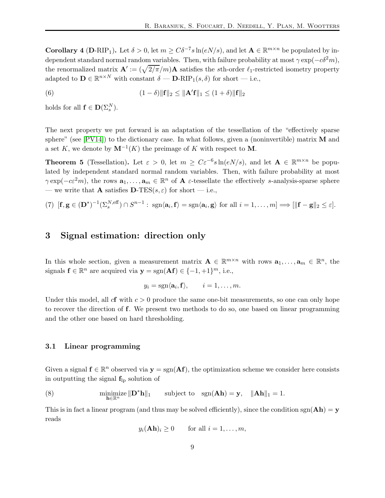**Corollary 4** (D-RIP<sub>1</sub>). Let  $\delta > 0$ , let  $m \geq C\delta^{-7} s \ln(eN/s)$ , and let  $\mathbf{A} \in \mathbb{R}^{m \times n}$  be populated by independent standard normal random variables. Then, with failure probability at most  $\gamma \exp(-c\delta^2 m)$ , the renormalized matrix  $\mathbf{A}' := (\sqrt{2/\pi}/m)\mathbf{A}$  satisfies the sth-order  $\ell_1$ -restricted isometry property adapted to  $\mathbf{D} \in \mathbb{R}^{n \times N}$  with constant  $\delta$  —  $\mathbf{D-RIP}_1(s, \delta)$  for short — i.e.,

(6) 
$$
(1 - \delta) \|\mathbf{f}\|_2 \le \|\mathbf{A}'\mathbf{f}\|_1 \le (1 + \delta) \|\mathbf{f}\|_2
$$

holds for all  $f \in D(\Sigma_s^N)$ .

The next property we put forward is an adaptation of the tessellation of the "effectively sparse sphere" (see  $[PV14]$ ) to the dictionary case. In what follows, given a (noninvertible) matrix M and a set K, we denote by  $M^{-1}(K)$  the preimage of K with respect to M.

<span id="page-9-2"></span>**Theorem 5** (Tessellation). Let  $\varepsilon > 0$ , let  $m \geq C\varepsilon^{-6} s \ln(eN/s)$ , and let  $\mathbf{A} \in \mathbb{R}^{m \times n}$  be populated by independent standard normal random variables. Then, with failure probability at most  $\gamma \exp(-c\varepsilon^2 m)$ , the rows  $\mathbf{a}_1, \dots, \mathbf{a}_m \in \mathbb{R}^n$  of  $\mathbf{A}$  *ε*-tessellate the effectively *s*-analysis-sparse sphere — we write that **A** satisfies **D**-TES( $s, \varepsilon$ ) for short — i.e.,

<span id="page-9-0"></span>(7) 
$$
[\mathbf{f}, \mathbf{g} \in (\mathbf{D}^*)^{-1}(\Sigma_s^{N, \text{eff}}) \cap S^{n-1} : \text{sgn}\langle \mathbf{a}_i, \mathbf{f} \rangle = \text{sgn}\langle \mathbf{a}_i, \mathbf{g} \rangle \text{ for all } i = 1, \dots, m] \Longrightarrow [\|\mathbf{f} - \mathbf{g}\|_2 \le \varepsilon].
$$

## 3 Signal estimation: direction only

In this whole section, given a measurement matrix  $\mathbf{A} \in \mathbb{R}^{m \times n}$  with rows  $\mathbf{a}_1, \ldots, \mathbf{a}_m \in \mathbb{R}^n$ , the signals  $f \in \mathbb{R}^n$  are acquired via  $y = sgn(\mathbf{Af}) \in \{-1, +1\}^m$ , i.e.,

$$
y_i = \mathrm{sgn}\langle \mathbf{a}_i, \mathbf{f} \rangle, \qquad i = 1, \dots, m.
$$

Under this model, all cf with  $c > 0$  produce the same one-bit measurements, so one can only hope to recover the direction of f. We present two methods to do so, one based on linear programming and the other one based on hard thresholding.

#### 3.1 Linear programming

Given a signal  $f \in \mathbb{R}^n$  observed via  $y = sgn(\mathbf{A}f)$ , the optimization scheme we consider here consists in outputting the signal  $f_{lp}$  solution of

(8) 
$$
\underset{\mathbf{h}\in\mathbb{R}^n}{\text{minimize}} \|\mathbf{D}^*\mathbf{h}\|_1 \quad \text{subject to} \quad \text{sgn}(\mathbf{A}\mathbf{h}) = \mathbf{y}, \quad \|\mathbf{A}\mathbf{h}\|_1 = 1.
$$

This is in fact a linear program (and thus may be solved efficiently), since the condition sgn( $\mathbf{A}\mathbf{h}$ ) = y reads

<span id="page-9-1"></span>
$$
y_i(\mathbf{Ah})_i \ge 0
$$
 for all  $i = 1, ..., m$ ,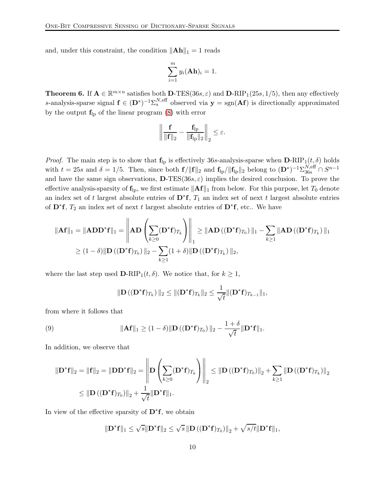and, under this constraint, the condition  $\|\mathbf{A}\mathbf{h}\|_1 = 1$  reads

$$
\sum_{i=1}^m y_i(\mathbf{Ah})_i = 1.
$$

<span id="page-10-1"></span>**Theorem 6.** If  $\mathbf{A} \in \mathbb{R}^{m \times n}$  satisfies both **D**-TES(36s,  $\varepsilon$ ) and **D**-RIP<sub>1</sub>(25s, 1/5), then any effectively s-analysis-sparse signal  $f \in (D^*)^{-1} \Sigma_s^{N, \text{eff}}$  observed via  $y = \text{sgn}(Af)$  is directionally approximated by the output  $f_{lp}$  of the linear program [\(8\)](#page-9-1) with error

$$
\left\|\frac{\mathbf{f}}{\|\mathbf{f}\|_2}-\frac{\mathbf{f}_{lp}}{\|\mathbf{f}_{lp}\|_2}\right\|_2\leq \varepsilon.
$$

*Proof.* The main step is to show that  $f_{lp}$  is effectively 36s-analysis-sparse when  $D-RIP_1(t, \delta)$  holds with  $t = 25s$  and  $\delta = 1/5$ . Then, since both  $f/||f||_2$  and  $f_{\vert p}/||f_{\vert p}||_2$  belong to  $(D^*)^{-1}\Sigma_{36s}^{N,\text{eff}} \cap S^{n-1}$ and have the same sign observations,  $\mathbf{D}\text{-}\text{TES}(36s,\varepsilon)$  implies the desired conclusion. To prove the effective analysis-sparsity of  $f_{\text{lp}}$ , we first estimate  $||Af||_1$  from below. For this purpose, let  $T_0$  denote an index set of t largest absolute entries of  $\mathbf{D}^*\mathbf{f}$ ,  $T_1$  an index set of next t largest absolute entries of  $\mathbf{D}^* \mathbf{f}$ ,  $T_2$  an index set of next t largest absolute entries of  $\mathbf{D}^* \mathbf{f}$ , etc.. We have

$$
\|\mathbf{A}\mathbf{f}\|_1 = \|\mathbf{A}\mathbf{D}\mathbf{D}^*\mathbf{f}\|_1 = \left\|\mathbf{A}\mathbf{D}\left(\sum_{k\geq 0} (\mathbf{D}^*\mathbf{f})_{T_k}\right)\right\|_1 \geq \|\mathbf{A}\mathbf{D}\left((\mathbf{D}^*\mathbf{f})_{T_0}\right)\|_1 - \sum_{k\geq 1} \|\mathbf{A}\mathbf{D}\left((\mathbf{D}^*\mathbf{f})_{T_k}\right)\|_1
$$
  
\n
$$
\geq (1 - \delta) \|\mathbf{D}\left((\mathbf{D}^*\mathbf{f})_{T_0}\right)\|_2 - \sum_{k\geq 1} (1 + \delta) \|\mathbf{D}\left((\mathbf{D}^*\mathbf{f})_{T_k}\right)\|_2,
$$

where the last step used  $\mathbf{D-RIP}_1(t, \delta)$ . We notice that, for  $k \geq 1$ ,

<span id="page-10-0"></span>
$$
\|\mathbf{D}\left((\mathbf{D}^*\mathbf{f})_{T_k}\right)\|_2 \leq \|(\mathbf{D}^*\mathbf{f})_{T_k}\|_2 \leq \frac{1}{\sqrt{t}} \|(\mathbf{D}^*\mathbf{f})_{T_{k-1}}\|_1,
$$

from where it follows that

(9) 
$$
\|\mathbf{A}\mathbf{f}\|_1 \geq (1-\delta) \|\mathbf{D}((\mathbf{D}^*\mathbf{f})_{T_0})\|_2 - \frac{1+\delta}{\sqrt{t}} \|\mathbf{D}^*\mathbf{f}\|_1.
$$

In addition, we observe that

$$
\begin{aligned} \|\mathbf{D}^*\mathbf{f}\|_2 &= \|\mathbf{f}\|_2 = \|\mathbf{D}\mathbf{D}^*\mathbf{f}\|_2 = \left\|\mathbf{D}\left(\sum_{k\geq 0} (\mathbf{D}^*\mathbf{f})_{T_k}\right)\right\|_2 \leq \|\mathbf{D}\left((\mathbf{D}^*\mathbf{f})_{T_0}\right)\|_2 + \sum_{k\geq 1} \|\mathbf{D}\left((\mathbf{D}^*\mathbf{f})_{T_k}\right)\|_2 \\ &\leq \|\mathbf{D}\left((\mathbf{D}^*\mathbf{f})_{T_0}\right)\|_2 + \frac{1}{\sqrt{t}}\|\mathbf{D}^*\mathbf{f}\|_1. \end{aligned}
$$

In view of the effective sparsity of  $\mathbf{D}^* \mathbf{f}$ , we obtain

$$
\|\mathbf{D}^*\mathbf{f}\|_1 \leq \sqrt{s} \|\mathbf{D}^*\mathbf{f}\|_2 \leq \sqrt{s} \left\|\mathbf{D} \left( (\mathbf{D}^*\mathbf{f})_{T_0} \right) \right\|_2 + \sqrt{s/t} \|\mathbf{D}^*\mathbf{f}\|_1,
$$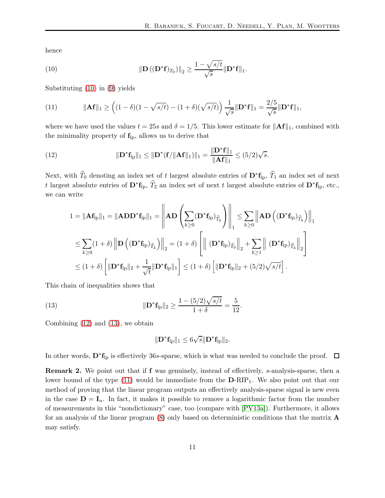hence

<span id="page-11-0"></span>(10) 
$$
\|\mathbf{D}((\mathbf{D}^*\mathbf{f})_{T_0})\|_2 \geq \frac{1 - \sqrt{s/t}}{\sqrt{s}} \|\mathbf{D}^*\mathbf{f}\|_1.
$$

Substituting [\(10\)](#page-11-0) in [\(9\)](#page-10-0) yields

<span id="page-11-3"></span>(11) 
$$
\|\mathbf{A}\mathbf{f}\|_1 \ge \left( (1-\delta)(1-\sqrt{s/t}) - (1+\delta)(\sqrt{s/t}) \right) \frac{1}{\sqrt{s}} \|\mathbf{D}^*\mathbf{f}\|_1 = \frac{2/5}{\sqrt{s}} \|\mathbf{D}^*\mathbf{f}\|_1,
$$

where we have used the values  $t = 25s$  and  $\delta = 1/5$ . This lower estimate for  $\|\mathbf{Aff}\|_1$ , combined with the minimality property of  $f_{lp}$ , allows us to derive that

<span id="page-11-1"></span>(12) 
$$
\|\mathbf{D}^*\mathbf{f}_{\mathrm{lp}}\|_1 \le \|\mathbf{D}^*(\mathbf{f}/\|\mathbf{A}\mathbf{f}\|_1)\|_1 = \frac{\|\mathbf{D}^*\mathbf{f}\|_1}{\|\mathbf{A}\mathbf{f}\|_1} \le (5/2)\sqrt{s}.
$$

Next, with  $\widehat{T}_0$  denoting an index set of t largest absolute entries of  $\mathbf{D}^* \mathbf{f}_{\mathrm{lp}}, \widehat{T}_1$  an index set of next t largest absolute entries of  $D^* f_{\text{lp}}, \hat{T}_2$  an index set of next t largest absolute entries of  $D^* f_{\text{lp}},$  etc., we can write

$$
1 = \|\mathbf{A}\mathbf{f}_{lp}\|_1 = \|\mathbf{A}\mathbf{D}\mathbf{D}^*\mathbf{f}_{lp}\|_1 = \left\|\mathbf{A}\mathbf{D}\left(\sum_{k\geq 0} (\mathbf{D}^*\mathbf{f}_{lp})_{\widehat{T}_k}\right)\right\|_1 \leq \sum_{k\geq 0} \left\|\mathbf{A}\mathbf{D}\left((\mathbf{D}^*\mathbf{f}_{lp})_{\widehat{T}_k}\right)\right\|_1
$$
  

$$
\leq \sum_{k\geq 0} (1+\delta) \left\|\mathbf{D}\left((\mathbf{D}^*\mathbf{f}_{lp})_{\widehat{T}_k}\right)\right\|_2 = (1+\delta) \left[\left\|\left((\mathbf{D}^*\mathbf{f}_{lp})_{\widehat{T}_0}\right)\right\|_2 + \sum_{k\geq 1} \left\|\left((\mathbf{D}^*\mathbf{f}_{lp})_{\widehat{T}_k}\right)\right\|_2\right]
$$
  

$$
\leq (1+\delta) \left[\|\mathbf{D}^*\mathbf{f}_{lp}\|_2 + \frac{1}{\sqrt{t}}\|\mathbf{D}^*\mathbf{f}_{lp}\|_1\right] \leq (1+\delta) \left[\|\mathbf{D}^*\mathbf{f}_{lp}\|_2 + (5/2)\sqrt{s/t}\right].
$$

This chain of inequalities shows that

(13) 
$$
\|\mathbf{D}^*\mathbf{f}_{\mathrm{lp}}\|_2 \ge \frac{1 - (5/2)\sqrt{s/t}}{1 + \delta} = \frac{5}{12}
$$

Combining [\(12\)](#page-11-1) and [\(13\)](#page-11-2), we obtain

<span id="page-11-2"></span>
$$
\|\mathbf{D}^*\mathbf{f}_{lp}\|_1 \leq 6\sqrt{s}\|\mathbf{D}^*\mathbf{f}_{lp}\|_2.
$$

.

In other words,  $\mathbf{D}^* \mathbf{f}_{\mathrm{lp}}$  is effectively 36s-sparse, which is what was needed to conclude the proof.

Remark 2. We point out that if f was genuinely, instead of effectively, s-analysis-sparse, then a lower bound of the type  $(11)$  would be immediate from the  $D-RIP<sub>1</sub>$ . We also point out that our method of proving that the linear program outputs an effectively analysis-sparse signal is new even in the case  $\mathbf{D} = \mathbf{I}_n$ . In fact, it makes it possible to remove a logarithmic factor from the number of measurements in this "nondictionary" case, too (compare with [\[PV13a\]](#page-24-0)). Furthermore, it allows for an analysis of the linear program [\(8\)](#page-9-1) only based on deterministic conditions that the matrix A may satisfy.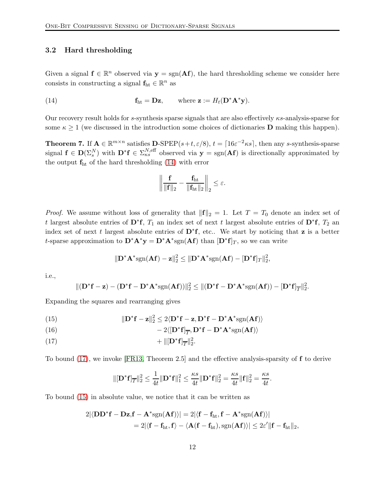## 3.2 Hard thresholding

Given a signal  $f \in \mathbb{R}^n$  observed via  $y = sgn(\mathbf{A}f)$ , the hard thresholding scheme we consider here consists in constructing a signal  $\mathbf{f}_{\mathrm{ht}} \in \mathbb{R}^n$  as

(14) 
$$
\mathbf{f}_{\text{ht}} = \mathbf{Dz}, \qquad \text{where } \mathbf{z} := H_t(\mathbf{D}^* \mathbf{A}^* \mathbf{y}).
$$

Our recovery result holds for s-synthesis sparse signals that are also effectively  $\kappa s$ -analysis-sparse for some  $\kappa \geq 1$  (we discussed in the introduction some choices of dictionaries **D** making this happen).

<span id="page-12-4"></span>**Theorem 7.** If  $A \in \mathbb{R}^{m \times n}$  satisfies **D**-SPEP $(s+t, \varepsilon/8)$ ,  $t = \lceil 16\varepsilon^{-2} \kappa s \rceil$ , then any s-synthesis-sparse signal  $f \in D(\Sigma_s^N)$  with  $D^*f \in \Sigma_{\kappa s}^{N,\text{eff}}$  observed via  $y = \text{sgn}(Af)$  is directionally approximated by the output  $f_{ht}$  of the hard thresholding [\(14\)](#page-12-0) with error

<span id="page-12-0"></span>
$$
\left\|\frac{\mathbf{f}}{\|\mathbf{f}\|_2}-\frac{\mathbf{f}_{ht}}{\|\mathbf{f}_{ht}\|_2}\right\|_2\leq \varepsilon.
$$

*Proof.* We assume without loss of generality that  $\|\mathbf{f}\|_2 = 1$ . Let  $T = T_0$  denote an index set of t largest absolute entries of D<sup>\*</sup>f,  $T_1$  an index set of next t largest absolute entries of D<sup>\*</sup>f,  $T_2$  an index set of next t largest absolute entries of  $\mathbf{D}^* \mathbf{f}$ , etc.. We start by noticing that **z** is a better t-sparse approximation to  $\mathbf{D}^* \mathbf{A}^* \mathbf{y} = \mathbf{D}^* \mathbf{A}^*$ sgn $(\mathbf{A} \mathbf{f})$  than  $[\mathbf{D}^* \mathbf{f}]_T$ , so we can write

$$
\|\mathbf{D}^*\mathbf{A}^*\mathrm{sgn}(\mathbf{A}\mathbf{f})-\mathbf{z}\|_2^2 \leq \|\mathbf{D}^*\mathbf{A}^*\mathrm{sgn}(\mathbf{A}\mathbf{f}) - [\mathbf{D}^*\mathbf{f}]_T\|_2^2,
$$

i.e.,

$$
\|(\mathbf{D}^* \mathbf{f} - \mathbf{z}) - (\mathbf{D}^* \mathbf{f} - \mathbf{D}^* \mathbf{A}^* \text{sgn}(\mathbf{A} \mathbf{f}))\|_2^2 \le \|(\mathbf{D}^* \mathbf{f} - \mathbf{D}^* \mathbf{A}^* \text{sgn}(\mathbf{A} \mathbf{f})) - [\mathbf{D}^* \mathbf{f}]_{\overline{T}}\|_2^2.
$$

Expanding the squares and rearranging gives

<span id="page-12-2"></span>(15) 
$$
\|\mathbf{D}^*\mathbf{f} - \mathbf{z}\|_2^2 \leq 2\langle \mathbf{D}^*\mathbf{f} - \mathbf{z}, \mathbf{D}^*\mathbf{f} - \mathbf{D}^*\mathbf{A}^*\text{sgn}(\mathbf{A}\mathbf{f})\rangle
$$

<span id="page-12-3"></span>(16) 
$$
-2\langle[\mathbf{D}^*\mathbf{f}]_{\overline{T}}, \mathbf{D}^*\mathbf{f}-\mathbf{D}^*\mathbf{A}^*\mathrm{sgn}(\mathbf{A}\mathbf{f})\rangle
$$

<span id="page-12-1"></span>
$$
+ \|\left[\mathbf{D}^*\mathbf{f}\right]_{\overline{T}}\|_2^2.
$$

To bound [\(17\)](#page-12-1), we invoke [\[FR13,](#page-23-2) Theorem 2.5] and the effective analysis-sparsity of f to derive

$$
\|[\mathbf{D}^* \mathbf{f}]_{\overline{T}}\|_2^2 \le \frac{1}{4t} \|\mathbf{D}^* \mathbf{f}\|_1^2 \le \frac{\kappa s}{4t} \|\mathbf{D}^* \mathbf{f}\|_2^2 = \frac{\kappa s}{4t} \|\mathbf{f}\|_2^2 = \frac{\kappa s}{4t}.
$$

To bound [\(15\)](#page-12-2) in absolute value, we notice that it can be written as

$$
\begin{aligned} 2|\langle \mathbf{D}\mathbf{D}^*\mathbf{f}-\mathbf{D}\mathbf{z},\mathbf{f}-\mathbf{A}^*\text{sgn}(\mathbf{A}\mathbf{f})\rangle| &= 2|\langle \mathbf{f}-\mathbf{f}_{\text{ht}},\mathbf{f}-\mathbf{A}^*\text{sgn}(\mathbf{A}\mathbf{f})\rangle| \\ &= 2|\langle \mathbf{f}-\mathbf{f}_{\text{ht}},\mathbf{f}\rangle-\langle \mathbf{A}(\mathbf{f}-\mathbf{f}_{\text{ht}}),\text{sgn}(\mathbf{A}\mathbf{f})\rangle| \leq 2\varepsilon'\|\mathbf{f}-\mathbf{f}_{\text{ht}}\|_2, \end{aligned}
$$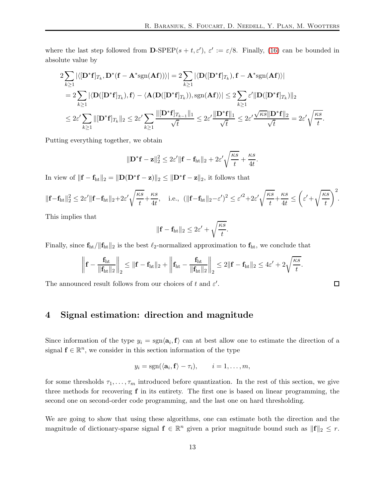where the last step followed from **D**-SPEP $(s + t, \varepsilon')$ ,  $\varepsilon' := \varepsilon/8$ . Finally, [\(16\)](#page-12-3) can be bounded in absolute value by

$$
2\sum_{k\geq 1} |\langle [\mathbf{D}^* \mathbf{f}]_{T_k}, \mathbf{D}^* (\mathbf{f} - \mathbf{A}^* \text{sgn}(\mathbf{A} \mathbf{f})) \rangle| = 2\sum_{k\geq 1} |\langle \mathbf{D}([\mathbf{D}^* \mathbf{f}]_{T_k}), \mathbf{f} - \mathbf{A}^* \text{sgn}(\mathbf{A} \mathbf{f}) \rangle|
$$
  
\n
$$
= 2\sum_{k\geq 1} |\langle \mathbf{D}([\mathbf{D}^* \mathbf{f}]_{T_k}), \mathbf{f} \rangle - \langle \mathbf{A}(\mathbf{D}([\mathbf{D}^* \mathbf{f}]_{T_k})), \text{sgn}(\mathbf{A} \mathbf{f}) \rangle| \leq 2\sum_{k\geq 1} \varepsilon' \|\mathbf{D}([\mathbf{D}^* \mathbf{f}]_{T_k})\|_2
$$
  
\n
$$
\leq 2\varepsilon' \sum_{k\geq 1} \|[\mathbf{D}^* \mathbf{f}]_{T_k}\|_2 \leq 2\varepsilon' \sum_{k\geq 1} \frac{\|[\mathbf{D}^* \mathbf{f}]_{T_{k-1}}\|_1}{\sqrt{t}} \leq 2\varepsilon' \frac{\|\mathbf{D}^* \mathbf{f}\|_1}{\sqrt{t}} \leq 2\varepsilon' \frac{\sqrt{\kappa s} \|\mathbf{D}^* \mathbf{f}\|_2}{\sqrt{t}} = 2\varepsilon' \sqrt{\frac{\kappa s}{t}}.
$$

Putting everything together, we obtain

$$
\|\mathbf{D}^*\mathbf{f} - \mathbf{z}\|_2^2 \le 2\varepsilon' \|\mathbf{f} - \mathbf{f}_{\text{ht}}\|_2 + 2\varepsilon' \sqrt{\frac{\kappa s}{t}} + \frac{\kappa s}{4t}.
$$

In view of  $\|\mathbf{f} - \mathbf{f}_{\text{ht}}\|_2 = \|\mathbf{D}(\mathbf{D}^*\mathbf{f} - \mathbf{z})\|_2 \leq \|\mathbf{D}^*\mathbf{f} - \mathbf{z}\|_2$ , it follows that

$$
\|\mathbf{f} - \mathbf{f}_{\text{ht}}\|_{2}^{2} \leq 2\varepsilon' \|\mathbf{f} - \mathbf{f}_{\text{ht}}\|_{2} + 2\varepsilon' \sqrt{\frac{\kappa s}{t}} + \frac{\kappa s}{4t}, \quad \text{i.e., } (\|\mathbf{f} - \mathbf{f}_{\text{ht}}\|_{2} - \varepsilon')^{2} \leq \varepsilon'^{2} + 2\varepsilon' \sqrt{\frac{\kappa s}{t}} + \frac{\kappa s}{4t} \leq \left(\varepsilon' + \sqrt{\frac{\kappa s}{t}}\right)^{2}.
$$

This implies that

$$
\|\mathbf{f} - \mathbf{f}_{\text{ht}}\|_2 \leq 2\varepsilon' + \sqrt{\frac{\kappa s}{t}}.
$$

Finally, since  $f_{\text{ht}}/||f_{\text{ht}}||_2$  is the best  $\ell_2$ -normalized approximation to  $f_{\text{ht}}$ , we conclude that

$$
\left\| \mathbf{f} - \frac{\mathbf{f}_{\text{ht}}}{\|\mathbf{f}_{\text{ht}}\|_2} \right\|_2 \leq \| \mathbf{f} - \mathbf{f}_{\text{ht}}\|_2 + \left\| \mathbf{f}_{\text{ht}} - \frac{\mathbf{f}_{\text{ht}}}{\|\mathbf{f}_{\text{ht}}\|_2} \right\|_2 \leq 2 \| \mathbf{f} - \mathbf{f}_{\text{ht}}\|_2 \leq 4\epsilon' + 2\sqrt{\frac{\kappa s}{t}}.
$$

<span id="page-13-0"></span>The announced result follows from our choices of t and  $\varepsilon'$ .

## 4 Signal estimation: direction and magnitude

Since information of the type  $y_i = \text{sgn} \langle \mathbf{a}_i, \mathbf{f} \rangle$  can at best allow one to estimate the direction of a signal  $f \in \mathbb{R}^n$ , we consider in this section information of the type

$$
y_i = sgn(\langle \mathbf{a}_i, \mathbf{f} \rangle - \tau_i), \qquad i = 1, \ldots, m,
$$

for some thresholds  $\tau_1, \ldots, \tau_m$  introduced before quantization. In the rest of this section, we give three methods for recovering f in its entirety. The first one is based on linear programming, the second one on second-order code programming, and the last one on hard thresholding.

We are going to show that using these algorithms, one can estimate both the direction and the magnitude of dictionary-sparse signal  $f \in \mathbb{R}^n$  given a prior magnitude bound such as  $||f||_2 \leq r$ .

 $\Box$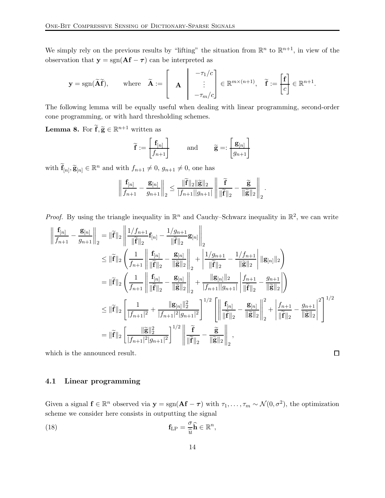We simply rely on the previous results by "lifting" the situation from  $\mathbb{R}^n$  to  $\mathbb{R}^{n+1}$ , in view of the observation that  $y = sgn(Af - \tau)$  can be interpreted as

$$
\mathbf{y} = \text{sgn}(\widetilde{\mathbf{A}}\widetilde{\mathbf{f}}), \quad \text{where} \quad \widetilde{\mathbf{A}} := \left[\begin{array}{c} -\tau_1/c \\ \mathbf{A} \end{array}\right] \begin{array}{c} -\tau_1/c \\ \vdots \\ -\tau_m/c \end{array} \in \mathbb{R}^{m \times (n+1)}, \quad \widetilde{\mathbf{f}} := \left[\begin{array}{c} \mathbf{f} \\ c \end{array}\right] \in \mathbb{R}^{n+1}.
$$

The following lemma will be equally useful when dealing with linear programming, second-order cone programming, or with hard thresholding schemes.

<span id="page-14-1"></span>**Lemma 8.** For  $\widetilde{\mathbf{f}}, \widetilde{\mathbf{g}} \in \mathbb{R}^{n+1}$  written as

$$
\widetilde{\mathbf{f}} := \begin{bmatrix} \mathbf{f}_{[n]} \\ f_{n+1} \end{bmatrix} \quad \text{and} \quad \widetilde{\mathbf{g}} =: \begin{bmatrix} \mathbf{g}_{[n]} \\ g_{n+1} \end{bmatrix}
$$

with  $\widetilde{\mathbf{f}}_{[n]}, \widetilde{\mathbf{g}}_{[n]} \in \mathbb{R}^n$  and with  $f_{n+1} \neq 0$ ,  $g_{n+1} \neq 0$ , one has

$$
\left\|\frac{\mathbf{f}_{[n]}}{f_{n+1}}-\frac{\mathbf{g}_{[n]}}{g_{n+1}}\right\|_2 \leq \frac{\|\widetilde{\mathbf{f}}\|_2\|\widetilde{\mathbf{g}}\|_2}{|f_{n+1}||g_{n+1}|}\left\|\frac{\widetilde{\mathbf{f}}}{\|\widetilde{\mathbf{f}}\|_2}-\frac{\widetilde{\mathbf{g}}}{\|\widetilde{\mathbf{g}}\|_2}\right\|_2.
$$

*Proof.* By using the triangle inequality in  $\mathbb{R}^n$  and Cauchy–Schwarz inequality in  $\mathbb{R}^2$ , we can write

$$
\left\| \frac{\mathbf{f}_{[n]}}{f_{n+1}} - \frac{\mathbf{g}_{[n]}}{g_{n+1}} \right\|_{2} = \left\| \widetilde{\mathbf{f}} \right\|_{2} \left\| \frac{1/f_{n+1}}{\left\| \widetilde{\mathbf{f}} \right\|_{2}} \mathbf{f}_{[n]} - \frac{1/g_{n+1}}{\left\| \widetilde{\mathbf{f}} \right\|_{2}} \mathbf{g}_{[n]} \right\|_{2} \n\leq \left\| \widetilde{\mathbf{f}} \right\|_{2} \left( \frac{1}{f_{n+1}} \left\| \frac{\mathbf{f}_{[n]}}{\left\| \widetilde{\mathbf{f}} \right\|_{2}} - \frac{\mathbf{g}_{[n]}}{\left\| \widetilde{\mathbf{g}} \right\|_{2}} \right\|_{2} + \left\| \frac{1/g_{n+1}}{\left\| \widetilde{\mathbf{f}} \right\|_{2}} - \frac{1/f_{n+1}}{\left\| \widetilde{\mathbf{g}} \right\|_{2}} \right\| \mathbf{g}_{[n]} \right\|_{2} \right) \n= \left\| \widetilde{\mathbf{f}} \right\|_{2} \left( \frac{1}{f_{n+1}} \left\| \frac{\mathbf{f}_{[n]}}{\left\| \widetilde{\mathbf{f}} \right\|_{2}} - \frac{\mathbf{g}_{[n]}}{\left\| \widetilde{\mathbf{g}} \right\|_{2}} \right\|_{2} + \frac{\left\| \mathbf{g}_{[n]}\right\|_{2}}{\left\| f_{n+1} \right\| \left\| \widetilde{\mathbf{f}} \right\|_{2}} - \frac{g_{n+1}}{\left\| \widetilde{\mathbf{g}} \right\|_{2}} \right) \right) \n\leq \left\| \widetilde{\mathbf{f}} \right\|_{2} \left[ \frac{1}{|f_{n+1}|^{2}} + \frac{\left\| \mathbf{g}_{[n]}\right\|_{2}^{2}}{\left\| f_{n+1} \right\|^{2} \left\| g_{n+1} \right|^{2}} \right]^{1/2} \left\| \frac{\mathbf{f}_{[n]}}{\left\| \widetilde{\mathbf{f}} \right\|_{2}} - \frac{\mathbf{g}_{[n]}}{\left\| \widetilde{\
$$

which is the announced result.

#### $\Box$

## 4.1 Linear programming

Given a signal  $f \in \mathbb{R}^n$  observed via  $y = sgn(\mathbf{A}f - \tau)$  with  $\tau_1, \ldots, \tau_m \sim \mathcal{N}(0, \sigma^2)$ , the optimization scheme we consider here consists in outputting the signal

<span id="page-14-0"></span>(18) 
$$
\mathbf{f}_{\text{LP}} = \frac{\sigma}{\hat{u}} \mathbf{\hat{h}} \in \mathbb{R}^n,
$$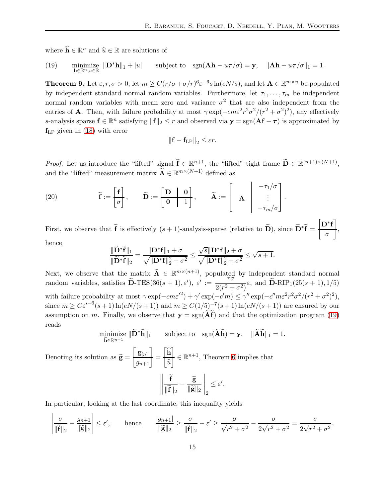where  $\widehat{\mathbf{h}} \in \mathbb{R}^n$  and  $\widehat{u} \in \mathbb{R}$  are solutions of

<span id="page-15-0"></span>(19) minimize 
$$
\|\mathbf{D}^*\mathbf{h}\|_1 + |u|
$$
 subject to  $\text{sgn}(\mathbf{A}\mathbf{h} - u\boldsymbol{\tau}/\sigma) = \mathbf{y}$ ,  $\|\mathbf{A}\mathbf{h} - u\boldsymbol{\tau}/\sigma\|_1 = 1$ .

**Theorem 9.** Let  $\varepsilon, r, \sigma > 0$ , let  $m \ge C(r/\sigma + \sigma/r)^{6}\varepsilon^{-6}s\ln(eN/s)$ , and let  $\mathbf{A} \in \mathbb{R}^{m \times n}$  be populated by independent standard normal random variables. Furthermore, let  $\tau_1, \ldots, \tau_m$  be independent normal random variables with mean zero and variance  $\sigma^2$  that are also independent from the entries of **A**. Then, with failure probability at most  $\gamma \exp(-cm\varepsilon^2 r^2 \sigma^2/(r^2 + \sigma^2)^2)$ , any effectively s-analysis sparse  $f \in \mathbb{R}^n$  satisfying  $||f||_2 \leq r$  and observed via  $y = sgn(\mathbf{A}f - \tau)$  is approximated by  $f_{LP}$  given in [\(18\)](#page-14-0) with error

$$
\left\|\mathbf{f} - \mathbf{f}_{\text{LP}}\right\|_2 \leq \varepsilon r.
$$

*Proof.* Let us introduce the "lifted" signal  $\tilde{\mathbf{f}} \in \mathbb{R}^{n+1}$ , the "lifted" tight frame  $\tilde{\mathbf{D}} \in \mathbb{R}^{(n+1)\times(N+1)}$ , and the "lifted" measurement matrix  $\widetilde{\mathbf{A}} \in \mathbb{R}^{m \times (N+1)}$  defined as

<span id="page-15-1"></span>(20) 
$$
\widetilde{\mathbf{f}} := \begin{bmatrix} \mathbf{f} \\ \sigma \end{bmatrix}, \qquad \widetilde{\mathbf{D}} := \begin{bmatrix} \mathbf{D} & \mathbf{0} \\ \mathbf{0} & 1 \end{bmatrix}, \qquad \widetilde{\mathbf{A}} := \begin{bmatrix} \mathbf{A} & -\tau_1/\sigma \\ \mathbf{A} & \vdots \\ -\tau_m/\sigma \end{bmatrix}.
$$

First, we observe that  $\tilde{\mathbf{f}}$  is effectively  $(s+1)$ -analysis-sparse (relative to  $\tilde{\mathbf{D}}$ ), since  $\tilde{\mathbf{D}}^*\tilde{\mathbf{f}}$  =  $[D^*f$ σ 1 , hence

$$
\frac{\|\widetilde{\mathbf{D}}^*\widetilde{\mathbf{f}}\|_1}{\|\widetilde{\mathbf{D}}^*\widetilde{\mathbf{f}}\|_2} = \frac{\|\mathbf{D}^*\mathbf{f}\|_1 + \sigma}{\sqrt{\|\mathbf{D}^*\mathbf{f}\|_2^2 + \sigma^2}} \le \frac{\sqrt{s}\|\mathbf{D}^*\mathbf{f}\|_2 + \sigma}{\sqrt{\|\mathbf{D}^*\mathbf{f}\|_2^2 + \sigma^2}} \le \sqrt{s+1}.
$$

Next, we observe that the matrix  $\widetilde{\mathbf{A}} \in \mathbb{R}^{m \times (n+1)}$ , populated by independent standard normal random variables, satisfies  $\widetilde{\mathbf{D}}$ -TES(36(s + 1),  $\varepsilon'$ ),  $\varepsilon' := \frac{r\sigma}{2(r^2 + 1)}$  $\frac{1}{2(r^2 + \sigma^2)}\varepsilon$ , and **D**-RIP<sub>1</sub>(25(s + 1), 1/5) with failure probability at most  $\gamma \exp(-c m \varepsilon'^2) + \gamma' \exp(-c' m) \leq \gamma'' \exp(-c' m \varepsilon^2 r^2 \sigma^2/(r^2 + \sigma^2)^2),$ since  $m \geq C \varepsilon^{r-6} (s+1) \ln(eN/(s+1))$  and  $m \geq C(1/5)^{-7} (s+1) \ln(eN/(s+1))$  are ensured by our assumption on m. Finally, we observe that  $y = sgn(\widetilde{Af})$  and that the optimization program [\(19\)](#page-15-0) reads

$$
\underset{\widetilde{\mathbf{h}} \in \mathbb{R}^{n+1}}{\text{minimize}} \|\widetilde{\mathbf{D}}^*\widetilde{\mathbf{h}}\|_1 \qquad \text{subject to} \quad \text{sgn}(\widetilde{\mathbf{A}}\widetilde{\mathbf{h}}) = \mathbf{y}, \quad \|\widetilde{\mathbf{A}}\widetilde{\mathbf{h}}\|_1 = 1.
$$
\n
$$
\text{Denoting its solution as } \widetilde{\mathbf{g}} = \frac{\mathbf{g}_{[n]}}{g_{n+1}} = \frac{\widehat{\mathbf{h}}}{\widehat{u}} \in \mathbb{R}^{n+1}, \text{ Theorem 6 implies that}
$$
\n
$$
\left\|\frac{\widetilde{\mathbf{f}}}{\|\widetilde{\mathbf{f}}\|_2} - \frac{\widetilde{\mathbf{g}}}{\|\widetilde{\mathbf{g}}\|_2}\right\|_2 \le \varepsilon'.
$$

In particular, looking at the last coordinate, this inequality yields

$$
\left|\frac{\sigma}{\|\widetilde{\mathbf{f}}\|_2} - \frac{g_{n+1}}{\|\widetilde{\mathbf{g}}\|_2}\right| \le \varepsilon', \qquad \text{hence} \qquad \frac{|g_{n+1}|}{\|\widetilde{\mathbf{g}}\|_2} \ge \frac{\sigma}{\|\widetilde{\mathbf{f}}\|_2} - \varepsilon' \ge \frac{\sigma}{\sqrt{r^2 + \sigma^2}} - \frac{\sigma}{2\sqrt{r^2 + \sigma^2}} = \frac{\sigma}{2\sqrt{r^2 + \sigma^2}}.
$$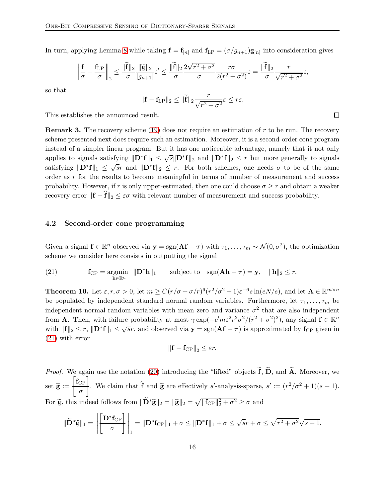In turn, applying Lemma [8](#page-14-1) while taking  $f = f_{[n]}$  and  $f_{LP} = (\sigma/g_{n+1})g_{[n]}$  into consideration gives

$$
\left\|\frac{\mathbf{f}}{\sigma} - \frac{\mathbf{f}_{\text{LP}}}{\sigma}\right\|_2 \le \frac{\|\widetilde{\mathbf{f}}\|_2}{\sigma} \frac{\|\widetilde{\mathbf{g}}\|_2}{|g_{n+1}|} \varepsilon' \le \frac{\|\widetilde{\mathbf{f}}\|_2}{\sigma} \frac{2\sqrt{r^2 + \sigma^2}}{\sigma} \frac{r\sigma}{2(r^2 + \sigma^2)} \varepsilon = \frac{\|\widetilde{\mathbf{f}}\|_2}{\sigma} \frac{r}{\sqrt{r^2 + \sigma^2}} \varepsilon,
$$

so that

$$
\|\mathbf{f} - \mathbf{f}_{\text{LP}}\|_2 \le \|\widetilde{\mathbf{f}}\|_2 \frac{r}{\sqrt{r^2 + \sigma^2}} \varepsilon \le r\varepsilon.
$$

This establishes the announced result.

**Remark 3.** The recovery scheme  $(19)$  does not require an estimation of r to be run. The recovery scheme presented next does require such an estimation. Moreover, it is a second-order cone program instead of a simpler linear program. But it has one noticeable advantage, namely that it not only applies to signals satisfying  $\|\mathbf{D}^*\mathbf{f}\|_1 \leq \sqrt{s} \|\mathbf{D}^*\mathbf{f}\|_2$  and  $\|\mathbf{D}^*\mathbf{f}\|_2 \leq r$  but more generally to signals satisfying  $\|\mathbf{D}^*\mathbf{f}\|_1 \leq \sqrt{sr}$  and  $\|\mathbf{D}^*\mathbf{f}\|_2 \leq r$ . For both schemes, one needs  $\sigma$  to be of the same order as r for the results to become meaningful in terms of number of measurement and success probability. However, if r is only upper-estimated, then one could choose  $\sigma \geq r$  and obtain a weaker recovery error  $\|\mathbf{f} - \mathbf{f}\|_2 \leq \varepsilon \sigma$  with relevant number of measurement and success probability.

#### 4.2 Second-order cone programming

Given a signal  $f \in \mathbb{R}^n$  observed via  $y = sgn(\mathbf{A}f - \tau)$  with  $\tau_1, \ldots, \tau_m \sim \mathcal{N}(0, \sigma^2)$ , the optimization scheme we consider here consists in outputting the signal

<span id="page-16-0"></span>(21) 
$$
\mathbf{f}_{\mathrm{CP}} = \underset{\mathbf{h} \in \mathbb{R}^n}{\mathrm{argmin}} \quad \|\mathbf{D}^*\mathbf{h}\|_1 \qquad \text{subject to} \quad \mathrm{sgn}(\mathbf{A}\mathbf{h} - \boldsymbol{\tau}) = \mathbf{y}, \quad \|\mathbf{h}\|_2 \leq r.
$$

**Theorem 10.** Let  $\varepsilon, r, \sigma > 0$ , let  $m \ge C(r/\sigma + \sigma/r)^6 (r^2/\sigma^2 + 1) \varepsilon^{-6} s \ln(eN/s)$ , and let  $\mathbf{A} \in \mathbb{R}^{m \times n}$ be populated by independent standard normal random variables. Furthermore, let  $\tau_1, \ldots, \tau_m$  be independent normal random variables with mean zero and variance  $\sigma^2$  that are also independent from **A**. Then, with failure probability at most  $\gamma \exp(-c'm\varepsilon^2 r^2 \sigma^2/(r^2 + \sigma^2)^2)$ , any signal  $\mathbf{f} \in \mathbb{R}^n$ with  $||\mathbf{f}||_2 \leq r$ ,  $||\mathbf{D}^*\mathbf{f}||_1 \leq \sqrt{sr}$ , and observed via  $\mathbf{y} = \text{sgn}(\mathbf{A}\mathbf{f} - \boldsymbol{\tau})$  is approximated by  $\mathbf{f}_{\text{CP}}$  given in [\(21\)](#page-16-0) with error

$$
\left\|\mathbf{f} - \mathbf{f}_{\mathrm{CP}}\right\|_2 \leq \varepsilon r.
$$

*Proof.* We again use the notation [\(20\)](#page-15-1) introducing the "lifted" objects  $\tilde{f}$ ,  $\tilde{D}$ , and  $\tilde{A}$ . Moreover, we set  $\widetilde{\mathbf{g}} := \frac{\begin{bmatrix} \mathbf{f}_{\mathrm{CP}} \\ \sigma \end{bmatrix}}$ σ 1 . We claim that  $\tilde{\mathbf{f}}$  and  $\tilde{\mathbf{g}}$  are effectively s'-analysis-sparse,  $s' := (r^2/\sigma^2 + 1)(s + 1)$ . For  $\tilde{\mathbf{g}}$ , this indeed follows from  $\|\tilde{\mathbf{D}}^*\tilde{\mathbf{g}}\|_2 = \|\tilde{\mathbf{g}}\|_2 = \sqrt{\|\mathbf{f}_{\text{CP}}\|_2^2 + \sigma^2} \ge \sigma$  and

$$
\|\widetilde{\mathbf{D}}^*\widetilde{\mathbf{g}}\|_1 = \left\|\left[\frac{\mathbf{D}^*\mathbf{f}_{\mathrm{CP}}}{\sigma}\right]\right\|_1 = \|\mathbf{D}^*\mathbf{f}_{\mathrm{CP}}\|_1 + \sigma \le \|\mathbf{D}^*\mathbf{f}\|_1 + \sigma \le \sqrt{sr} + \sigma \le \sqrt{r^2 + \sigma^2}\sqrt{s+1}.
$$

 $\Box$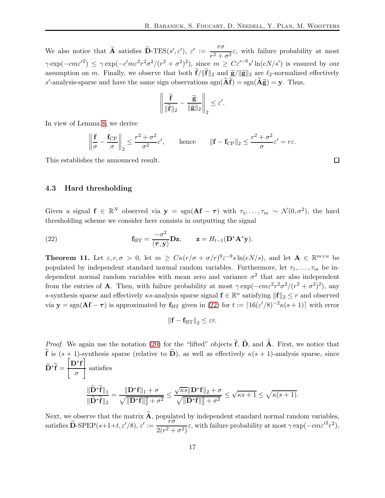We also notice that  $\widetilde{A}$  satisfies  $\widetilde{D}$ -TES(s',  $\varepsilon'$ ),  $\varepsilon' := \frac{r\sigma}{r^2 + 1}$  $\frac{1}{r^2 + \sigma^2} \varepsilon$ , with failure probability at most  $\gamma \exp(-c m \varepsilon^{2}) \leq \gamma \exp(-c' m \varepsilon^{2} r^{2} \sigma^{2} / (r^{2} + \sigma^{2})^{2}), \text{ since } m \geq C \varepsilon'^{-6} s' \ln(e N / s') \text{ is ensured by our }$ assumption on m. Finally, we observe that both  $\mathbf{f}/\|\mathbf{f}\|_2$  and  $\tilde{\mathbf{g}}/\|\tilde{\mathbf{g}}\|_2$  are  $\ell_2$ -normalized effectively s'-analysis-sparse and have the same sign observations  $sgn(\tilde{A}\tilde{f}) = sgn(\tilde{A}\tilde{g}) = y$ . Thus,

$$
\left\|\frac{\widetilde{\mathbf{f}}}{\|\widetilde{\mathbf{f}}\|_2} - \frac{\widetilde{\mathbf{g}}}{\|\widetilde{\mathbf{g}}\|_2}\right\|_2 \leq \varepsilon'.
$$

In view of Lemma [8,](#page-14-1) we derive

$$
\left\|\frac{\mathbf{f}}{\sigma} - \frac{\mathbf{f}_{\rm CP}}{\sigma}\right\|_2 \le \frac{r^2 + \sigma^2}{\sigma^2} \varepsilon', \qquad \text{hence} \qquad \|\mathbf{f} - \mathbf{f}_{\rm CP}\|_2 \le \frac{r^2 + \sigma^2}{\sigma} \varepsilon' = r\varepsilon.
$$

This establishes the announced result.

4.3 Hard thresholding

Given a signal  $f \in \mathbb{R}^N$  observed via  $y = sgn(Af - \tau)$  with  $\tau_1, \ldots, \tau_m \sim \mathcal{N}(0, \sigma^2)$ , the hard thresholding scheme we consider here consists in outputting the signal

<span id="page-17-0"></span>(22) 
$$
\mathbf{f}_{\text{HT}} = \frac{-\sigma^2}{\langle \boldsymbol{\tau}, \mathbf{y} \rangle} \mathbf{D} \mathbf{z}, \qquad \mathbf{z} = H_{t-1}(\mathbf{D}^* \mathbf{A}^* \mathbf{y}).
$$

**Theorem 11.** Let  $\varepsilon, r, \sigma > 0$ , let  $m \geq C\kappa (r/\sigma + \sigma/r)^9 \varepsilon^{-9} s \ln(eN/s)$ , and let  $\mathbf{A} \in \mathbb{R}^{m \times n}$  be populated by independent standard normal random variables. Furthermore, let  $\tau_1, \ldots, \tau_m$  be independent normal random variables with mean zero and variance  $\sigma^2$  that are also independent from the entries of **A**. Then, with failure probability at most  $\gamma \exp(-cm\epsilon^2 r^2 \sigma^2/(r^2 + \sigma^2)^2)$ , any s-synthesis sparse and effectively  $\kappa$ s-analysis sparse signal  $f \in \mathbb{R}^n$  satisfying  $||f||_2 \leq r$  and observed via  $\mathbf{y} = \text{sgn}(\mathbf{A}\mathbf{f} - \boldsymbol{\tau})$  is approximated by  $\mathbf{f}_{\text{HT}}$  given in [\(22\)](#page-17-0) for  $t := \lceil 16(\varepsilon'/8)^{-2} \kappa(s+1) \rceil$  with error

$$
\left\|\mathbf{f} - \mathbf{f}_{\mathrm{HT}}\right\|_2 \leq \varepsilon r.
$$

*Proof.* We again use the notation [\(20\)](#page-15-1) for the "lifted" objects  $\tilde{f}$ ,  $\tilde{D}$ , and  $\tilde{A}$ . First, we notice that  $\tilde{\mathbf{f}}$  is  $(s + 1)$ -synthesis sparse (relative to  $\tilde{\mathbf{D}}$ ), as well as effectively  $\kappa(s + 1)$ -analysis sparse, since  $\widetilde{\mathbf{D}}^*\widetilde{\mathbf{f}} =$  $\overline{D}$ <sup>\*</sup>f σ  $\tilde{1}$ satisfies  $\Vert \widetilde{\mathbf{D}}^*\widetilde{\mathbf{f}}\Vert_1$  $\|\bar{\mathbf{D}}^*\mathbf{f}\|_2$  $= \frac{\Vert \mathbf{D}^* \mathbf{f} \Vert_1 + \sigma}{\Vert \mathbf{D}^* \mathbf{f} \Vert_1}$  $\sqrt{\|\mathbf{D}^*\mathbf{f}\|_2^2 + \sigma^2}$  $\sqrt{\kappa s} \|\mathbf{D}^*\mathbf{f}\|_2 + \sigma$  $\sqrt{\|\mathbf{D}^*\mathbf{f}\|^2_2 + \sigma^2}$  $\sqrt{\kappa s + 1} \leq \sqrt{\kappa (s + 1)}.$ 

Next, we observe that the matrix **A**, populated by independent standard normal random variables, satisfies  $\widetilde{\mathbf{D}}$ -SPEP $(s+1+t,\varepsilon'/8), \varepsilon' := \frac{r\sigma}{2(r^2+t^2)}$  $\frac{r\sigma}{2(r^2+\sigma^2)}\varepsilon$ , with failure probability at most  $\gamma \exp(-c m \varepsilon'^2 r^2)$ ,

 $\Box$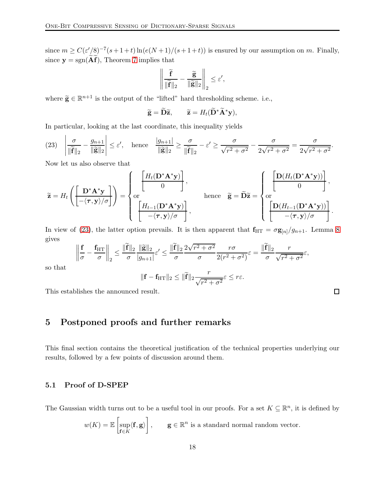since  $m \geq C(\varepsilon' / 8)^{-7} (s+1+t) \ln(e(N+1)/(s+1+t))$  is ensured by our assumption on m. Finally, since  $y = sgn(\tilde{A}\tilde{f})$ , Theorem [7](#page-12-4) implies that

$$
\left\| \frac{\widetilde{\mathbf{f}}}{\|\widetilde{\mathbf{f}}\|_2} - \frac{\widetilde{\mathbf{g}}}{\|\widetilde{\mathbf{g}}\|_2} \right\|_2 \leq \varepsilon'
$$

,

where  $\widetilde{\mathbf{g}} \in \mathbb{R}^{n+1}$  is the output of the "lifted" hard thresholding scheme. i.e.,

$$
\widetilde{\mathbf{g}} = \widetilde{\mathbf{D}} \widetilde{\mathbf{z}}, \qquad \widetilde{\mathbf{z}} = H_t(\widetilde{\mathbf{D}}^* \widetilde{\mathbf{A}}^* \mathbf{y}),
$$

In particular, looking at the last coordinate, this inequality yields

<span id="page-18-1"></span>
$$
(23) \quad \left|\frac{\sigma}{\|\widetilde{\mathbf{f}}\|_{2}} - \frac{g_{n+1}}{\|\widetilde{\mathbf{g}}\|_{2}}\right| \leq \varepsilon', \quad \text{hence} \quad \frac{|g_{n+1}|}{\|\widetilde{\mathbf{g}}\|_{2}} \geq \frac{\sigma}{\|\widetilde{\mathbf{f}}\|_{2}} - \varepsilon' \geq \frac{\sigma}{\sqrt{r^{2} + \sigma^{2}}} - \frac{\sigma}{2\sqrt{r^{2} + \sigma^{2}}} = \frac{\sigma}{2\sqrt{r^{2} + \sigma^{2}}}.
$$

Now let us also observe that

$$
\widetilde{\mathbf{z}} = H_t \left( \left[ \frac{\mathbf{D}^* \mathbf{A}^* \mathbf{y}}{-\langle \tau, \mathbf{y} \rangle / \sigma} \right] \right) = \begin{cases} H_t(\mathbf{D}^* \mathbf{A}^* \mathbf{y}) \\ \text{or} \\ \left[ \frac{H_{t-1}(\mathbf{D}^* \mathbf{A}^* \mathbf{y})}{-\langle \tau, \mathbf{y} \rangle / \sigma} \right], \end{cases} \text{ hence } \widetilde{\mathbf{g}} = \widetilde{\mathbf{D}} \widetilde{\mathbf{z}} = \begin{cases} \mathbf{D}(H_t(\mathbf{D}^* \mathbf{A}^* \mathbf{y})) \\ \text{or} \\ \left[ \frac{\mathbf{D}(H_{t-1}(\mathbf{D}^* \mathbf{A}^* \mathbf{y}))}{-\langle \tau, \mathbf{y} \rangle / \sigma} \right]. \end{cases}
$$

In view of [\(23\)](#page-18-1), the latter option prevails. It is then apparent that  $f_{HT} = \sigma g_{[n]}/g_{n+1}$ . Lemma [8](#page-14-1) gives

$$
\left\|\frac{\mathbf{f}}{\sigma} - \frac{\mathbf{f}_{\mathrm{HT}}}{\sigma}\right\|_2 \le \frac{\|\widetilde{\mathbf{f}}\|_2}{\sigma} \frac{\|\widetilde{\mathbf{g}}\|_2}{|g_{n+1}|} \varepsilon' \le \frac{\|\widetilde{\mathbf{f}}\|_2}{\sigma} \frac{2\sqrt{r^2 + \sigma^2}}{\sigma} \frac{r\sigma}{2(r^2 + \sigma^2)} \varepsilon = \frac{\|\widetilde{\mathbf{f}}\|_2}{\sigma} \frac{r}{\sqrt{r^2 + \sigma^2}} \varepsilon,
$$

so that

$$
\|\mathbf{f} - \mathbf{f}_{\text{HT}}\|_2 \le \|\widetilde{\mathbf{f}}\|_2 \frac{r}{\sqrt{r^2 + \sigma^2}} \varepsilon \le r\varepsilon.
$$

<span id="page-18-0"></span>This establishes the announced result.

# 5 Postponed proofs and further remarks

This final section contains the theoretical justification of the technical properties underlying our results, followed by a few points of discussion around them.

## 5.1 Proof of D-SPEP

The Gaussian width turns out to be a useful tool in our proofs. For a set  $K \subseteq \mathbb{R}^n$ , it is defined by

$$
w(K) = \mathbb{E}\left[\sup_{\mathbf{f}\in K} \langle \mathbf{f}, \mathbf{g} \rangle\right], \qquad \mathbf{g} \in \mathbb{R}^n \text{ is a standard normal random vector.}
$$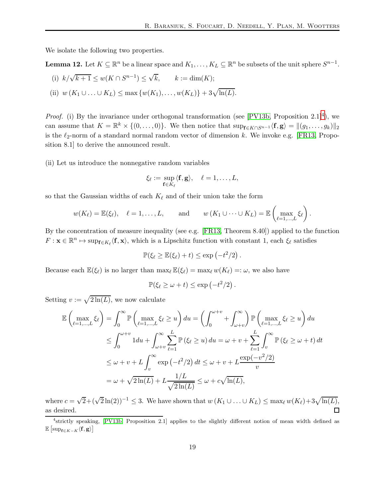We isolate the following two properties.

<span id="page-19-1"></span>**Lemma 12.** Let  $K \subseteq \mathbb{R}^n$  be a linear space and  $K_1, \ldots, K_L \subseteq \mathbb{R}^n$  be subsets of the unit sphere  $S^{n-1}$ .

(i) 
$$
k/\sqrt{k+1} \le w(K \cap S^{n-1}) \le \sqrt{k}
$$
,  $k := \dim(K)$ ;

(ii) 
$$
w(K_1 \cup ... \cup K_L) \le \max \{w(K_1), ..., w(K_L)\} + 3\sqrt{\ln(L)}
$$
.

*Proof.* (i) By the invariance under orthogonal transformation (see [\[PV13b,](#page-24-1) Proposition 2.1]<sup>[4](#page-19-0)</sup>), we can assume that  $K = \mathbb{R}^k \times \{(0, \ldots, 0)\}\.$  We then notice that  $\sup_{\mathbf{f} \in K \cap S^{n-1}} \langle \mathbf{f}, \mathbf{g} \rangle = ||(g_1, \ldots, g_k)||_2$ is the  $\ell_2$ -norm of a standard normal random vector of dimension k. We invoke e.g. [\[FR13,](#page-23-2) Proposition 8.1] to derive the announced result.

(ii) Let us introduce the nonnegative random variables

$$
\xi_{\ell} := \sup_{\mathbf{f} \in K_{\ell}} \langle \mathbf{f}, \mathbf{g} \rangle, \quad \ell = 1, \ldots, L,
$$

so that the Gaussian widths of each  $K_{\ell}$  and of their union take the form

$$
w(K_{\ell}) = \mathbb{E}(\xi_{\ell}), \quad \ell = 1, ..., L, \quad \text{and} \quad w(K_1 \cup \cdots \cup K_L) = \mathbb{E} \left( \max_{\ell=1,...,L} \xi_{\ell} \right).
$$

By the concentration of measure inequality (see e.g. [\[FR13,](#page-23-2) Theorem 8.40]) applied to the function  $F: \mathbf{x} \in \mathbb{R}^n \mapsto \sup_{\mathbf{f} \in K_{\ell}} \langle \mathbf{f}, \mathbf{x} \rangle$ , which is a Lipschitz function with constant 1, each  $\xi_{\ell}$  satisfies

$$
\mathbb{P}(\xi_{\ell} \geq \mathbb{E}(\xi_{\ell}) + t) \leq \exp(-t^2/2).
$$

Because each  $\mathbb{E}(\xi_{\ell})$  is no larger than  $\max_{\ell} \mathbb{E}(\xi_{\ell}) = \max_{\ell} w(K_{\ell}) =: \omega$ , we also have

$$
\mathbb{P}(\xi_{\ell} \geq \omega + t) \leq \exp(-t^2/2).
$$

Setting  $v := \sqrt{2 \ln(L)}$ , we now calculate

$$
\mathbb{E}\left(\max_{\ell=1,\dots,L} \xi_{\ell}\right) = \int_{0}^{\infty} \mathbb{P}\left(\max_{\ell=1,\dots,L} \xi_{\ell} \ge u\right) du = \left(\int_{0}^{\omega+v} + \int_{\omega+v}^{\infty}\right) \mathbb{P}\left(\max_{\ell=1,\dots,L} \xi_{\ell} \ge u\right) du
$$
  
\n
$$
\le \int_{0}^{\omega+v} 1 du + \int_{\omega+v}^{\infty} \sum_{\ell=1}^{L} \mathbb{P}\left(\xi_{\ell} \ge u\right) du = \omega + v + \sum_{\ell=1}^{L} \int_{v}^{\infty} \mathbb{P}\left(\xi_{\ell} \ge \omega + t\right) dt
$$
  
\n
$$
\le \omega + v + L \int_{v}^{\infty} \exp\left(-t^{2}/2\right) dt \le \omega + v + L \frac{\exp(-v^{2}/2)}{v}
$$
  
\n
$$
= \omega + \sqrt{2\ln(L)} + L \frac{1/L}{\sqrt{2\ln(L)}} \le \omega + c\sqrt{\ln(L)},
$$

where  $c = \sqrt{2} + (\sqrt{2} \ln(2))^{-1} \leq 3$ . We have shown that  $w(K_1 \cup ... \cup K_L) \leq \max_{\ell} w(K_{\ell}) + 3\sqrt{\ln(L)}$ , as desired.  $\Box$ 

<span id="page-19-0"></span><sup>4</sup> strictly speaking, [\[PV13b,](#page-24-1) Proposition 2.1] applies to the slightly different notion of mean width defined as  $\mathbb{E}\left[\sup_{\mathbf{f}\in K-K}\langle\mathbf{f},\mathbf{g}\rangle\right]$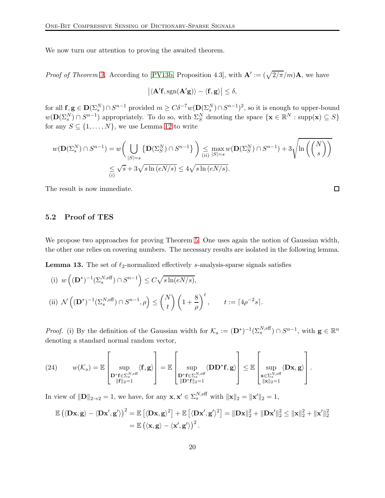We now turn our attention to proving the awaited theorem.

*Proof of Theorem [3.](#page-8-2)* According to [\[PV13b,](#page-24-1) Proposition 4.3], with  $\mathbf{A}' := (\sqrt{2/\pi}/m)\mathbf{A}$ , we have

$$
\big|\langle \mathbf{A}'\mathbf{f}, \mathrm{sgn}(\mathbf{A}'\mathbf{g})\rangle - \langle \mathbf{f}, \mathbf{g}\rangle\big| \leq \delta,
$$

for all  $f, g \in D(\Sigma_s^N) \cap S^{n-1}$  provided  $m \geq C\delta^{-7}w(D(\Sigma_s^N) \cap S^{n-1})^2$ , so it is enough to upper-bound  $w(\mathbf{D}(\Sigma_s^N) \cap S^{n-1})$  appropriately. To do so, with  $\Sigma_S^N$  denoting the space  $\{\mathbf{x} \in \mathbb{R}^N : \text{supp}(\mathbf{x}) \subseteq S\}$ for any  $S \subseteq \{1, \ldots, N\}$ , we use Lemma [12](#page-19-1) to write

$$
w(\mathbf{D}(\Sigma_s^N) \cap S^{n-1}) = w\left(\bigcup_{\substack{|S|=s\\(i)}} \{\mathbf{D}(\Sigma_s^N) \cap S^{n-1}\}\right) \leq \max_{(ii)} w(\mathbf{D}(\Sigma_s^N) \cap S^{n-1}) + 3\sqrt{\ln\left(\binom{N}{s}\right)}
$$

$$
\leq \sqrt{s} + 3\sqrt{s \ln(eN/s)} \leq 4\sqrt{s \ln(eN/s)}.
$$

The result is now immediate.

## 5.2 Proof of TES

We propose two approaches for proving Theorem [5.](#page-9-2) One uses again the notion of Gaussian width, the other one relies on covering numbers. The necessary results are isolated in the following lemma.

<span id="page-20-0"></span>**Lemma 13.** The set of  $\ell_2$ -normalized effectively s-analysis-sparse signals satisfies

(i) 
$$
w((\mathbf{D}^*)^{-1}(\Sigma_s^{N,\text{eff}}) \cap S^{n-1}) \le C \sqrt{s \ln(eN/s)},
$$
  
\n(ii)  $\mathcal{N}((\mathbf{D}^*)^{-1}(\Sigma_s^{N,\text{eff}}) \cap S^{n-1}, \rho) \le {N \choose t} \left(1 + \frac{8}{\rho}\right)^t, \qquad t := \lceil 4\rho^{-2} s \rceil.$ 

*Proof.* (i) By the definition of the Gaussian width for  $\mathcal{K}_s := (\mathbf{D}^*)^{-1}(\Sigma_s^{N,\text{eff}}) \cap S^{n-1}$ , with  $\mathbf{g} \in \mathbb{R}^n$ denoting a standard normal random vector,

(24) <sup>w</sup>(Ks) = <sup>E</sup> sup D∗ f∈Σ N,eff s kfk2=1 hf, gi <sup>=</sup> <sup>E</sup> sup D∗ f∈Σ N,eff s kD∗fk2=1 <sup>h</sup>DD<sup>∗</sup> f, gi <sup>≤</sup> <sup>E</sup> sup x∈Σ N,eff s kxk2=1 hDx, gi .

In view of  $\|\mathbf{D}\|_{2\to 2} = 1$ , we have, for any  $\mathbf{x}, \mathbf{x}' \in \Sigma_s^{N,\text{eff}}$  with  $\|\mathbf{x}\|_2 = \|\mathbf{x}'\|_2 = 1$ ,

$$
\mathbb{E}(\langle \mathbf{D}\mathbf{x},\mathbf{g}\rangle - \langle \mathbf{D}\mathbf{x}',\mathbf{g}'\rangle)^2 = \mathbb{E}[\langle \mathbf{D}\mathbf{x},\mathbf{g}\rangle^2] + \mathbb{E}[\langle \mathbf{D}\mathbf{x}',\mathbf{g}'\rangle^2] = \|\mathbf{D}\mathbf{x}\|_2^2 + \|\mathbf{D}\mathbf{x}'\|_2^2 \le \|\mathbf{x}\|_2^2 + \|\mathbf{x}'\|_2^2
$$
  
=  $\mathbb{E}(\langle \mathbf{x},\mathbf{g}\rangle - \langle \mathbf{x}',\mathbf{g}'\rangle)^2$ .

 $\Box$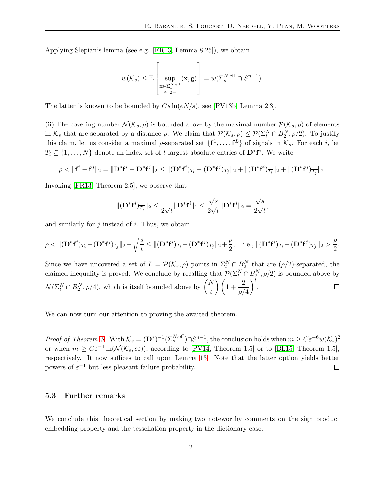Applying Slepian's lemma (see e.g. [\[FR13,](#page-23-2) Lemma 8.25]), we obtain

$$
w(\mathcal{K}_s) \leq \mathbb{E}\left[\sup_{\substack{\mathbf{x}\in \Sigma^{N,\text{eff}}_s\\ \|\mathbf{x}\|_2=1}}\langle \mathbf{x},\mathbf{g}\rangle\right]=w(\Sigma^{N,\text{eff}}_s\cap S^{n-1}).
$$

The latter is known to be bounded by  $Cs \ln(eN/s)$ , see [\[PV13b,](#page-24-1) Lemma 2.3].

(ii) The covering number  $\mathcal{N}(\mathcal{K}_{s}, \rho)$  is bounded above by the maximal number  $\mathcal{P}(\mathcal{K}_{s}, \rho)$  of elements in  $\mathcal{K}_s$  that are separated by a distance  $\rho$ . We claim that  $\mathcal{P}(\mathcal{K}_s, \rho) \leq \mathcal{P}(\Sigma_t^N \cap B_2^N, \rho/2)$ . To justify this claim, let us consider a maximal  $\rho$ -separated set  $\{f^1, \ldots, f^L\}$  of signals in  $\mathcal{K}_s$ . For each i, let  $T_i \subseteq \{1, \ldots, N\}$  denote an index set of t largest absolute entries of  $\mathbf{D}^*\mathbf{f}^i$ . We write

$$
\rho < \|\mathbf{f}^i - \mathbf{f}^j\|_2 = \|\mathbf{D}^*\mathbf{f}^i - \mathbf{D}^*\mathbf{f}^j\|_2 \le \|(\mathbf{D}^*\mathbf{f}^i)_{T_i} - (\mathbf{D}^*\mathbf{f}^j)_{T_j}\|_2 + \|(\mathbf{D}^*\mathbf{f}^i)_{T_i} \|_2 + \|(\mathbf{D}^*\mathbf{f}^j)_{T_j} \|_2.
$$

Invoking [\[FR13,](#page-23-2) Theorem 2.5], we observe that

$$
\|(\mathbf{D}^*\mathbf{f}^i)_{\overline{T_i}}\|_2 \leq \frac{1}{2\sqrt{t}}\|\mathbf{D}^*\mathbf{f}^i\|_1 \leq \frac{\sqrt{s}}{2\sqrt{t}}\|\mathbf{D}^*\mathbf{f}^i\|_2 = \frac{\sqrt{s}}{2\sqrt{t}},
$$

and similarly for  $j$  instead of  $i$ . Thus, we obtain

$$
\rho < \|(\mathbf{D}^*\mathbf{f}^i)_{T_i} - (\mathbf{D}^*\mathbf{f}^j)_{T_j}\|_2 + \sqrt{\frac{s}{t}} \le \|(\mathbf{D}^*\mathbf{f}^i)_{T_i} - (\mathbf{D}^*\mathbf{f}^j)_{T_j}\|_2 + \frac{\rho}{2}, \quad \text{i.e., } \|(\mathbf{D}^*\mathbf{f}^i)_{T_i} - (\mathbf{D}^*\mathbf{f}^j)_{T_j}\|_2 > \frac{\rho}{2}.
$$

Since we have uncovered a set of  $L = \mathcal{P}(\mathcal{K}_{s}, \rho)$  points in  $\Sigma_{t}^{N} \cap B_{2}^{N}$  that are  $(\rho/2)$ -separated, the claimed inequality is proved. We conclude by recalling that  $\mathcal{P}(\Sigma_t^N \cap B_2^N, \rho/2)$  is bounded above by  $\Delta^t$  $\mathcal{N}(\Sigma_t^N \cap B_2^N, \rho/4)$ , which is itself bounded above by  $\begin{pmatrix} N \\ t \end{pmatrix}$  $\binom{N}{t}\left(1+\frac{2}{\rho}\right)$ .  $\Box$  $\rho/4$ 

We can now turn our attention to proving the awaited theorem.

*Proof of Theorem [5.](#page-9-2)* With  $\mathcal{K}_s = (\mathbf{D}^*)^{-1} (\Sigma_s^{N,\text{eff}}) \cap S^{n-1}$ , the conclusion holds when  $m \geq C \varepsilon^{-6} w(\mathcal{K}_s)^2$ or when  $m \geq C\varepsilon^{-1}\ln(\mathcal{N}(\mathcal{K}_s, c\varepsilon))$ , according to [\[PV14,](#page-24-12) Theorem 1.5] or to [\[BL15,](#page-23-15) Theorem 1.5], respectively. It now suffices to call upon Lemma [13.](#page-20-0) Note that the latter option yields better powers of  $\varepsilon^{-1}$  but less pleasant failure probability.  $\Box$ 

#### 5.3 Further remarks

We conclude this theoretical section by making two noteworthy comments on the sign product embedding property and the tessellation property in the dictionary case.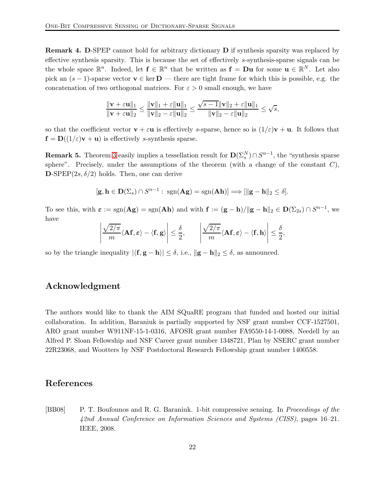Remark 4. D-SPEP cannot hold for arbitrary dictionary D if synthesis sparsity was replaced by effective synthesis sparsity. This is because the set of effectively s-synthesis-sparse signals can be the whole space  $\mathbb{R}^n$ . Indeed, let  $f \in \mathbb{R}^n$  that be written as  $f = Du$  for some  $u \in \mathbb{R}^N$ . Let also pick an  $(s-1)$ -sparse vector  $\mathbf{v} \in \text{ker } \mathbf{D}$  — there are tight frame for which this is possible, e.g. the concatenation of two orthogonal matrices. For  $\varepsilon > 0$  small enough, we have

$$
\frac{\|\mathbf{v}+\varepsilon\mathbf{u}\|_1}{\|\mathbf{v}+\varepsilon\mathbf{u}\|_2} \le \frac{\|\mathbf{v}\|_1+\varepsilon\|\mathbf{u}\|_1}{\|\mathbf{v}\|_2-\varepsilon\|\mathbf{u}\|_2} \le \frac{\sqrt{s-1}\|\mathbf{v}\|_2+\varepsilon\|\mathbf{u}\|_1}{\|\mathbf{v}\|_2-\varepsilon\|\mathbf{u}\|_2} \le \sqrt{s},
$$

so that the coefficient vector  $\mathbf{v} + \varepsilon \mathbf{u}$  is effectively s-sparse, hence so is  $(1/\varepsilon)\mathbf{v} + \mathbf{u}$ . It follows that  $f = D((1/\varepsilon)v + u)$  is effectively s-synthesis sparse.

**Remark 5.** Theorem [3](#page-8-2) easily implies a tessellation result for  $D(\Sigma_s^N) \cap S^{n-1}$ , the "synthesis sparse" sphere". Precisely, under the assumptions of the theorem (with a change of the constant  $C$ ),  $\mathbf{D}\text{-SPEP}(2s,\delta/2)$  holds. Then, one can derive

$$
[\mathbf{g}, \mathbf{h} \in \mathbf{D}(\Sigma_s) \cap S^{n-1} : \text{ sgn}(\mathbf{A}\mathbf{g}) = \text{sgn}(\mathbf{A}\mathbf{h})] \Longrightarrow [\|\mathbf{g} - \mathbf{h}\|_2 \leq \delta].
$$

To see this, with  $\varepsilon := \text{sgn}(\mathbf{A}\mathbf{g}) = \text{sgn}(\mathbf{A}\mathbf{h})$  and with  $\mathbf{f} := (\mathbf{g} - \mathbf{h})/||\mathbf{g} - \mathbf{h}||_2 \in \mathbf{D}(\Sigma_{2s}) \cap S^{n-1}$ , we have

$$
\left|\frac{\sqrt{2/\pi}}{m} \langle \mathbf{A} \mathbf{f}, \boldsymbol{\varepsilon} \rangle - \langle \mathbf{f}, \mathbf{g} \rangle \right| \leq \frac{\delta}{2}, \qquad \left|\frac{\sqrt{2/\pi}}{m} \langle \mathbf{A} \mathbf{f}, \boldsymbol{\varepsilon} \rangle - \langle \mathbf{f}, \mathbf{h} \rangle \right| \leq \frac{\delta}{2},
$$

so by the triangle inequality  $|\langle \mathbf{f}, \mathbf{g} - \mathbf{h} \rangle| \leq \delta$ , i.e.,  $\|\mathbf{g} - \mathbf{h}\|_2 \leq \delta$ , as announced.

# Acknowledgment

The authors would like to thank the AIM SQuaRE program that funded and hosted our initial collaboration. In addition, Baraniuk is partially supported by NSF grant number CCF-1527501, ARO grant number W911NF-15-1-0316, AFOSR grant number FA9550-14-1-0088, Needell by an Alfred P. Sloan Fellowship and NSF Career grant number 1348721, Plan by NSERC grant number 22R23068, and Wootters by NSF Postdoctoral Research Fellowship grant number 1400558.

# References

<span id="page-22-0"></span>[BB08] P. T. Boufounos and R. G. Baraniuk. 1-bit compressive sensing. In Proceedings of the 42nd Annual Conference on Information Sciences and Systems (CISS), pages 16–21. IEEE, 2008.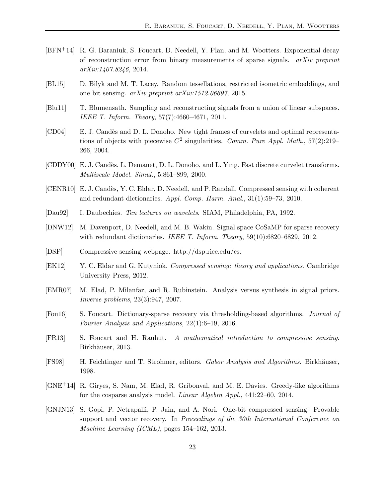- <span id="page-23-4"></span>[BFN+14] R. G. Baraniuk, S. Foucart, D. Needell, Y. Plan, and M. Wootters. Exponential decay of reconstruction error from binary measurements of sparse signals.  $arXiv$  preprint arXiv:1407.8246, 2014.
- <span id="page-23-15"></span>[BL15] D. Bilyk and M. T. Lacey. Random tessellations, restricted isometric embeddings, and one bit sensing. arXiv preprint arXiv:1512.06697, 2015.
- <span id="page-23-13"></span>[Blu11] T. Blumensath. Sampling and reconstructing signals from a union of linear subspaces. IEEE T. Inform. Theory, 57(7):4660–4671, 2011.
- <span id="page-23-8"></span>[CD04] E. J. Candès and D. L. Donoho. New tight frames of curvelets and optimal representations of objects with piecewise  $C^2$  singularities. Comm. Pure Appl. Math., 57(2):219– 266, 2004.
- <span id="page-23-7"></span>[CDDY00] E. J. Candès, L. Demanet, D. L. Donoho, and L. Ying. Fast discrete curvelet transforms. Multiscale Model. Simul., 5:861–899, 2000.
- <span id="page-23-9"></span>[CENR10] E. J. Candès, Y. C. Eldar, D. Needell, and P. Randall. Compressed sensing with coherent and redundant dictionaries. Appl. Comp. Harm. Anal., 31(1):59–73, 2010.
- <span id="page-23-5"></span>[Dau92] I. Daubechies. Ten lectures on wavelets. SIAM, Philadelphia, PA, 1992.
- <span id="page-23-14"></span>[DNW12] M. Davenport, D. Needell, and M. B. Wakin. Signal space CoSaMP for sparse recovery with redundant dictionaries. IEEE T. Inform. Theory, 59(10):6820–6829, 2012.
- <span id="page-23-0"></span>[DSP] Compressive sensing webpage. http://dsp.rice.edu/cs.
- <span id="page-23-1"></span>[EK12] Y. C. Eldar and G. Kutyniok. Compressed sensing: theory and applications. Cambridge University Press, 2012.
- <span id="page-23-12"></span>[EMR07] M. Elad, P. Milanfar, and R. Rubinstein. Analysis versus synthesis in signal priors. Inverse problems, 23(3):947, 2007.
- <span id="page-23-11"></span>[Fou16] S. Foucart. Dictionary-sparse recovery via thresholding-based algorithms. Journal of Fourier Analysis and Applications, 22(1):6–19, 2016.
- <span id="page-23-2"></span>[FR13] S. Foucart and H. Rauhut. A mathematical introduction to compressive sensing. Birkhäuser, 2013.
- <span id="page-23-6"></span>[FS98] H. Feichtinger and T. Strohmer, editors. Gabor Analysis and Algorithms. Birkhäuser, 1998.
- <span id="page-23-10"></span>[GNE+14] R. Giryes, S. Nam, M. Elad, R. Gribonval, and M. E. Davies. Greedy-like algorithms for the cosparse analysis model. Linear Algebra Appl., 441:22–60, 2014.
- <span id="page-23-3"></span>[GNJN13] S. Gopi, P. Netrapalli, P. Jain, and A. Nori. One-bit compressed sensing: Provable support and vector recovery. In Proceedings of the 30th International Conference on Machine Learning (ICML), pages 154–162, 2013.